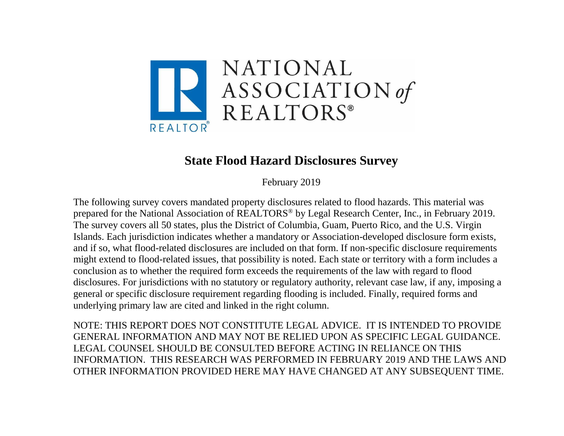

## **State Flood Hazard Disclosures Survey**

February 2019

The following survey covers mandated property disclosures related to flood hazards. This material was prepared for the National Association of REALTORS® by Legal Research Center, Inc., in February 2019. The survey covers all 50 states, plus the District of Columbia, Guam, Puerto Rico, and the U.S. Virgin Islands. Each jurisdiction indicates whether a mandatory or Association-developed disclosure form exists, and if so, what flood-related disclosures are included on that form. If non-specific disclosure requirements might extend to flood-related issues, that possibility is noted. Each state or territory with a form includes a conclusion as to whether the required form exceeds the requirements of the law with regard to flood disclosures. For jurisdictions with no statutory or regulatory authority, relevant case law, if any, imposing a general or specific disclosure requirement regarding flooding is included. Finally, required forms and underlying primary law are cited and linked in the right column.

NOTE: THIS REPORT DOES NOT CONSTITUTE LEGAL ADVICE. IT IS INTENDED TO PROVIDE GENERAL INFORMATION AND MAY NOT BE RELIED UPON AS SPECIFIC LEGAL GUIDANCE. LEGAL COUNSEL SHOULD BE CONSULTED BEFORE ACTING IN RELIANCE ON THIS INFORMATION. THIS RESEARCH WAS PERFORMED IN FEBRUARY 2019 AND THE LAWS AND OTHER INFORMATION PROVIDED HERE MAY HAVE CHANGED AT ANY SUBSEQUENT TIME.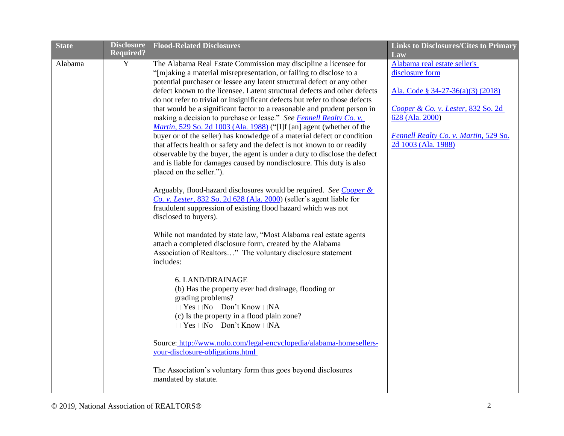| <b>State</b> | <b>Disclosure</b><br><b>Required?</b> | <b>Flood-Related Disclosures</b>                                                                                                                        | <b>Links to Disclosures/Cites to Primary</b> |
|--------------|---------------------------------------|---------------------------------------------------------------------------------------------------------------------------------------------------------|----------------------------------------------|
| Alabama      | Y                                     | The Alabama Real Estate Commission may discipline a licensee for                                                                                        | Law<br>Alabama real estate seller's          |
|              |                                       | "[m]aking a material misrepresentation, or failing to disclose to a                                                                                     | disclosure form                              |
|              |                                       | potential purchaser or lessee any latent structural defect or any other                                                                                 |                                              |
|              |                                       | defect known to the licensee. Latent structural defects and other defects                                                                               | Ala. Code § 34-27-36(a)(3) (2018)            |
|              |                                       | do not refer to trivial or insignificant defects but refer to those defects<br>that would be a significant factor to a reasonable and prudent person in | Cooper & Co. v. Lester, 832 So. 2d           |
|              |                                       | making a decision to purchase or lease." See Fennell Realty Co. v.                                                                                      | 628 (Ala. 2000)                              |
|              |                                       | <i>Martin</i> , 529 So. 2d 1003 (Ala. 1988) ("[I]f [an] agent (whether of the                                                                           |                                              |
|              |                                       | buyer or of the seller) has knowledge of a material defect or condition                                                                                 | Fennell Realty Co. v. Martin, 529 So.        |
|              |                                       | that affects health or safety and the defect is not known to or readily                                                                                 | 2d 1003 (Ala. 1988)                          |
|              |                                       | observable by the buyer, the agent is under a duty to disclose the defect                                                                               |                                              |
|              |                                       | and is liable for damages caused by nondisclosure. This duty is also                                                                                    |                                              |
|              |                                       | placed on the seller.").                                                                                                                                |                                              |
|              |                                       |                                                                                                                                                         |                                              |
|              |                                       | Arguably, flood-hazard disclosures would be required. See Cooper &<br>Co. v. Lester, 832 So. 2d 628 (Ala. 2000) (seller's agent liable for              |                                              |
|              |                                       | fraudulent suppression of existing flood hazard which was not                                                                                           |                                              |
|              |                                       | disclosed to buyers).                                                                                                                                   |                                              |
|              |                                       |                                                                                                                                                         |                                              |
|              |                                       | While not mandated by state law, "Most Alabama real estate agents                                                                                       |                                              |
|              |                                       | attach a completed disclosure form, created by the Alabama                                                                                              |                                              |
|              |                                       | Association of Realtors" The voluntary disclosure statement                                                                                             |                                              |
|              |                                       | includes:                                                                                                                                               |                                              |
|              |                                       | 6. LAND/DRAINAGE                                                                                                                                        |                                              |
|              |                                       | (b) Has the property ever had drainage, flooding or                                                                                                     |                                              |
|              |                                       | grading problems?                                                                                                                                       |                                              |
|              |                                       | □ Yes □No □Don't Know □NA                                                                                                                               |                                              |
|              |                                       | (c) Is the property in a flood plain zone?                                                                                                              |                                              |
|              |                                       | $\Box$ Yes $\Box$ No $\Box$ Don't Know $\Box$ NA                                                                                                        |                                              |
|              |                                       |                                                                                                                                                         |                                              |
|              |                                       | Source: http://www.nolo.com/legal-encyclopedia/alabama-homesellers-                                                                                     |                                              |
|              |                                       | your-disclosure-obligations.html                                                                                                                        |                                              |
|              |                                       | The Association's voluntary form thus goes beyond disclosures                                                                                           |                                              |
|              |                                       | mandated by statute.                                                                                                                                    |                                              |
|              |                                       |                                                                                                                                                         |                                              |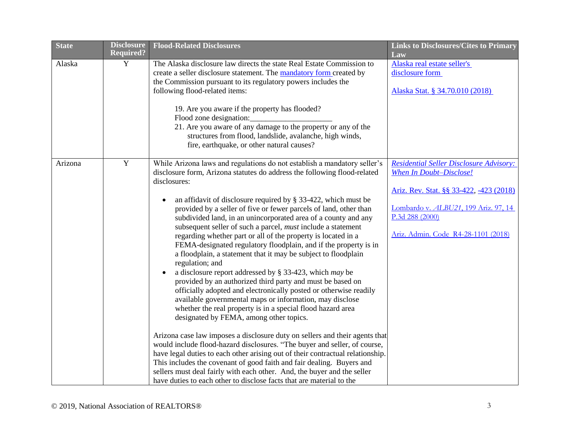| <b>State</b> | <b>Disclosure</b> | <b>Flood-Related Disclosures</b>                                                                                                                     | <b>Links to Disclosures/Cites to Primary</b>                              |
|--------------|-------------------|------------------------------------------------------------------------------------------------------------------------------------------------------|---------------------------------------------------------------------------|
|              | <b>Required?</b>  |                                                                                                                                                      | Law                                                                       |
| Alaska       | Y                 | The Alaska disclosure law directs the state Real Estate Commission to<br>create a seller disclosure statement. The <b>mandatory form</b> created by  | Alaska real estate seller's<br>disclosure form                            |
|              |                   | the Commission pursuant to its regulatory powers includes the                                                                                        |                                                                           |
|              |                   | following flood-related items:                                                                                                                       | Alaska Stat. § 34.70.010 (2018)                                           |
|              |                   |                                                                                                                                                      |                                                                           |
|              |                   | 19. Are you aware if the property has flooded?                                                                                                       |                                                                           |
|              |                   | Flood zone designation:                                                                                                                              |                                                                           |
|              |                   | 21. Are you aware of any damage to the property or any of the                                                                                        |                                                                           |
|              |                   | structures from flood, landslide, avalanche, high winds,                                                                                             |                                                                           |
|              |                   | fire, earthquake, or other natural causes?                                                                                                           |                                                                           |
|              | $\overline{Y}$    |                                                                                                                                                      |                                                                           |
| Arizona      |                   | While Arizona laws and regulations do not establish a mandatory seller's<br>disclosure form, Arizona statutes do address the following flood-related | <b>Residential Seller Disclosure Advisory:</b><br>When In Doubt-Disclose! |
|              |                   | disclosures:                                                                                                                                         |                                                                           |
|              |                   |                                                                                                                                                      | Ariz. Rev. Stat. §§ 33-422, -423 (2018)                                   |
|              |                   | an affidavit of disclosure required by $\S$ 33-422, which must be                                                                                    |                                                                           |
|              |                   | provided by a seller of five or fewer parcels of land, other than                                                                                    | Lombardo v. ALBU21, 199 Ariz. 97, 14                                      |
|              |                   | subdivided land, in an unincorporated area of a county and any                                                                                       | P.3d 288 (2000)                                                           |
|              |                   | subsequent seller of such a parcel, <i>must</i> include a statement                                                                                  |                                                                           |
|              |                   | regarding whether part or all of the property is located in a                                                                                        | Ariz. Admin. Code R4-28-1101 (2018)                                       |
|              |                   | FEMA-designated regulatory floodplain, and if the property is in                                                                                     |                                                                           |
|              |                   | a floodplain, a statement that it may be subject to floodplain                                                                                       |                                                                           |
|              |                   | regulation; and                                                                                                                                      |                                                                           |
|              |                   | a disclosure report addressed by $\S$ 33-423, which may be<br>provided by an authorized third party and must be based on                             |                                                                           |
|              |                   | officially adopted and electronically posted or otherwise readily                                                                                    |                                                                           |
|              |                   | available governmental maps or information, may disclose                                                                                             |                                                                           |
|              |                   | whether the real property is in a special flood hazard area                                                                                          |                                                                           |
|              |                   | designated by FEMA, among other topics.                                                                                                              |                                                                           |
|              |                   |                                                                                                                                                      |                                                                           |
|              |                   | Arizona case law imposes a disclosure duty on sellers and their agents that                                                                          |                                                                           |
|              |                   | would include flood-hazard disclosures. "The buyer and seller, of course,                                                                            |                                                                           |
|              |                   | have legal duties to each other arising out of their contractual relationship.                                                                       |                                                                           |
|              |                   | This includes the covenant of good faith and fair dealing. Buyers and                                                                                |                                                                           |
|              |                   | sellers must deal fairly with each other. And, the buyer and the seller                                                                              |                                                                           |
|              |                   | have duties to each other to disclose facts that are material to the                                                                                 |                                                                           |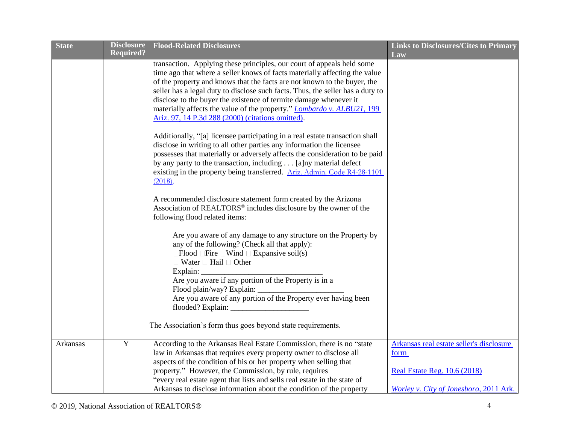| <b>State</b> | <b>Disclosure</b> | <b>Flood-Related Disclosures</b>                                               | <b>Links to Disclosures/Cites to Primary</b> |
|--------------|-------------------|--------------------------------------------------------------------------------|----------------------------------------------|
|              | <b>Required?</b>  |                                                                                | Law                                          |
|              |                   | transaction. Applying these principles, our court of appeals held some         |                                              |
|              |                   | time ago that where a seller knows of facts materially affecting the value     |                                              |
|              |                   | of the property and knows that the facts are not known to the buyer, the       |                                              |
|              |                   | seller has a legal duty to disclose such facts. Thus, the seller has a duty to |                                              |
|              |                   | disclose to the buyer the existence of termite damage whenever it              |                                              |
|              |                   | materially affects the value of the property." <i>Lombardo v. ALBU21</i> , 199 |                                              |
|              |                   | Ariz. 97, 14 P.3d 288 (2000) (citations omitted).                              |                                              |
|              |                   | Additionally, "[a] licensee participating in a real estate transaction shall   |                                              |
|              |                   | disclose in writing to all other parties any information the licensee          |                                              |
|              |                   | possesses that materially or adversely affects the consideration to be paid    |                                              |
|              |                   | by any party to the transaction, including [a] ny material defect              |                                              |
|              |                   | existing in the property being transferred. Ariz. Admin. Code R4-28-1101       |                                              |
|              |                   | (2018).                                                                        |                                              |
|              |                   |                                                                                |                                              |
|              |                   | A recommended disclosure statement form created by the Arizona                 |                                              |
|              |                   | Association of REALTORS <sup>®</sup> includes disclosure by the owner of the   |                                              |
|              |                   | following flood related items:                                                 |                                              |
|              |                   | Are you aware of any damage to any structure on the Property by                |                                              |
|              |                   | any of the following? (Check all that apply):                                  |                                              |
|              |                   | $\Box$ Flood $\Box$ Fire $\Box$ Wind $\Box$ Expansive soil(s)                  |                                              |
|              |                   | $\Box$ Water $\Box$ Hail $\Box$ Other                                          |                                              |
|              |                   | Explain:                                                                       |                                              |
|              |                   | Are you aware if any portion of the Property is in a                           |                                              |
|              |                   | Flood plain/way? Explain:                                                      |                                              |
|              |                   | Are you aware of any portion of the Property ever having been                  |                                              |
|              |                   | flooded? Explain: __                                                           |                                              |
|              |                   | The Association's form thus goes beyond state requirements.                    |                                              |
|              |                   |                                                                                |                                              |
| Arkansas     | $\overline{Y}$    | According to the Arkansas Real Estate Commission, there is no "state           | Arkansas real estate seller's disclosure     |
|              |                   | law in Arkansas that requires every property owner to disclose all             | form                                         |
|              |                   | aspects of the condition of his or her property when selling that              |                                              |
|              |                   | property." However, the Commission, by rule, requires                          | <b>Real Estate Reg. 10.6 (2018)</b>          |
|              |                   | "every real estate agent that lists and sells real estate in the state of      |                                              |
|              |                   | Arkansas to disclose information about the condition of the property           | Worley v. City of Jonesboro, 2011 Ark.       |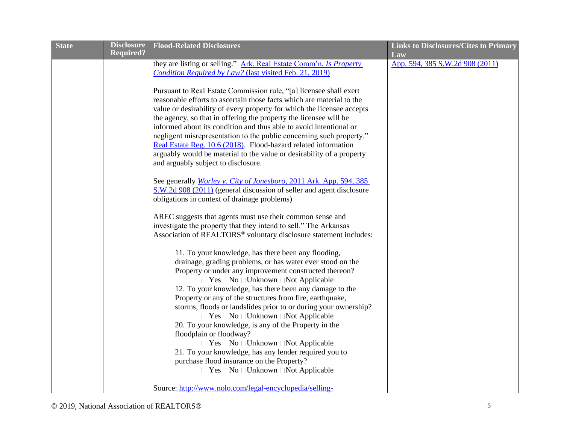| <b>State</b> | <b>Disclosure</b> | <b>Flood-Related Disclosures</b>                                              | <b>Links to Disclosures/Cites to Primary</b> |
|--------------|-------------------|-------------------------------------------------------------------------------|----------------------------------------------|
|              | <b>Required?</b>  |                                                                               | Law                                          |
|              |                   | they are listing or selling." Ark. Real Estate Comm'n, Is Property            | App. 594, 385 S.W.2d 908 (2011)              |
|              |                   | Condition Required by Law? (last visited Feb. 21, 2019)                       |                                              |
|              |                   |                                                                               |                                              |
|              |                   | Pursuant to Real Estate Commission rule, "[a] licensee shall exert            |                                              |
|              |                   | reasonable efforts to ascertain those facts which are material to the         |                                              |
|              |                   | value or desirability of every property for which the licensee accepts        |                                              |
|              |                   | the agency, so that in offering the property the licensee will be             |                                              |
|              |                   | informed about its condition and thus able to avoid intentional or            |                                              |
|              |                   | negligent misrepresentation to the public concerning such property."          |                                              |
|              |                   | Real Estate Reg. 10.6 (2018). Flood-hazard related information                |                                              |
|              |                   | arguably would be material to the value or desirability of a property         |                                              |
|              |                   | and arguably subject to disclosure.                                           |                                              |
|              |                   | See generally <i>Worley v. City of Jonesboro</i> , 2011 Ark. App. 594, 385    |                                              |
|              |                   | S.W.2d 908 (2011) (general discussion of seller and agent disclosure          |                                              |
|              |                   | obligations in context of drainage problems)                                  |                                              |
|              |                   |                                                                               |                                              |
|              |                   | AREC suggests that agents must use their common sense and                     |                                              |
|              |                   | investigate the property that they intend to sell." The Arkansas              |                                              |
|              |                   | Association of REALTORS <sup>®</sup> voluntary disclosure statement includes: |                                              |
|              |                   |                                                                               |                                              |
|              |                   | 11. To your knowledge, has there been any flooding,                           |                                              |
|              |                   | drainage, grading problems, or has water ever stood on the                    |                                              |
|              |                   | Property or under any improvement constructed thereon?                        |                                              |
|              |                   | $\Box$ Yes $\Box$ No $\Box$ Unknown $\Box$ Not Applicable                     |                                              |
|              |                   | 12. To your knowledge, has there been any damage to the                       |                                              |
|              |                   | Property or any of the structures from fire, earthquake,                      |                                              |
|              |                   | storms, floods or landslides prior to or during your ownership?               |                                              |
|              |                   | $\Box$ Yes $\Box$ No $\Box$ Unknown $\Box$ Not Applicable                     |                                              |
|              |                   | 20. To your knowledge, is any of the Property in the                          |                                              |
|              |                   | floodplain or floodway?                                                       |                                              |
|              |                   | $\Box$ Yes $\Box$ No $\Box$ Unknown $\Box$ Not Applicable                     |                                              |
|              |                   | 21. To your knowledge, has any lender required you to                         |                                              |
|              |                   | purchase flood insurance on the Property?                                     |                                              |
|              |                   | $\Box$ Yes $\Box$ No $\Box$ Unknown $\Box$ Not Applicable                     |                                              |
|              |                   | Source: http://www.nolo.com/legal-encyclopedia/selling-                       |                                              |
|              |                   |                                                                               |                                              |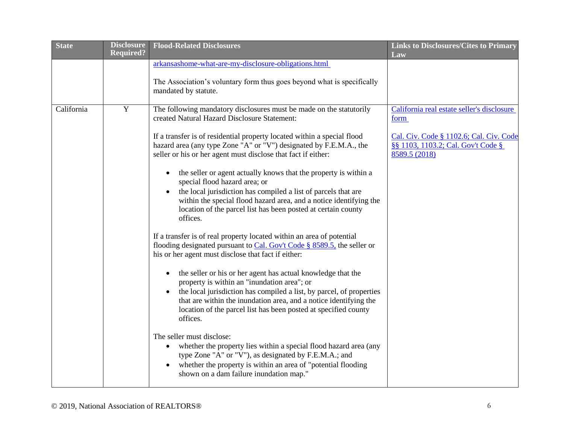| <b>State</b> | <b>Disclosure</b><br><b>Required?</b> | <b>Flood-Related Disclosures</b>                                                                                                                                                                                                                                                                                                                                                                                                                                                                                                                                                                                                                                                                                                | <b>Links to Disclosures/Cites to Primary</b>                                                                                                         |
|--------------|---------------------------------------|---------------------------------------------------------------------------------------------------------------------------------------------------------------------------------------------------------------------------------------------------------------------------------------------------------------------------------------------------------------------------------------------------------------------------------------------------------------------------------------------------------------------------------------------------------------------------------------------------------------------------------------------------------------------------------------------------------------------------------|------------------------------------------------------------------------------------------------------------------------------------------------------|
|              |                                       |                                                                                                                                                                                                                                                                                                                                                                                                                                                                                                                                                                                                                                                                                                                                 | Law                                                                                                                                                  |
|              |                                       | arkansashome-what-are-my-disclosure-obligations.html<br>The Association's voluntary form thus goes beyond what is specifically<br>mandated by statute.                                                                                                                                                                                                                                                                                                                                                                                                                                                                                                                                                                          |                                                                                                                                                      |
| California   | $\mathbf Y$                           | The following mandatory disclosures must be made on the statutorily<br>created Natural Hazard Disclosure Statement:<br>If a transfer is of residential property located within a special flood<br>hazard area (any type Zone "A" or "V") designated by F.E.M.A., the<br>seller or his or her agent must disclose that fact if either:<br>the seller or agent actually knows that the property is within a<br>special flood hazard area; or<br>the local jurisdiction has compiled a list of parcels that are<br>$\bullet$                                                                                                                                                                                                       | California real estate seller's disclosure<br>form<br>Cal. Civ. Code § 1102.6; Cal. Civ. Code<br>§§ 1103, 1103.2; Cal. Gov't Code §<br>8589.5 (2018) |
|              |                                       | within the special flood hazard area, and a notice identifying the<br>location of the parcel list has been posted at certain county<br>offices.<br>If a transfer is of real property located within an area of potential<br>flooding designated pursuant to Cal. Gov't Code § 8589.5, the seller or<br>his or her agent must disclose that fact if either:<br>the seller or his or her agent has actual knowledge that the<br>$\bullet$<br>property is within an "inundation area"; or<br>the local jurisdiction has compiled a list, by parcel, of properties<br>$\bullet$<br>that are within the inundation area, and a notice identifying the<br>location of the parcel list has been posted at specified county<br>offices. |                                                                                                                                                      |
|              |                                       | The seller must disclose:<br>whether the property lies within a special flood hazard area (any<br>$\bullet$<br>type Zone "A" or "V"), as designated by F.E.M.A.; and<br>whether the property is within an area of "potential flooding<br>shown on a dam failure inundation map."                                                                                                                                                                                                                                                                                                                                                                                                                                                |                                                                                                                                                      |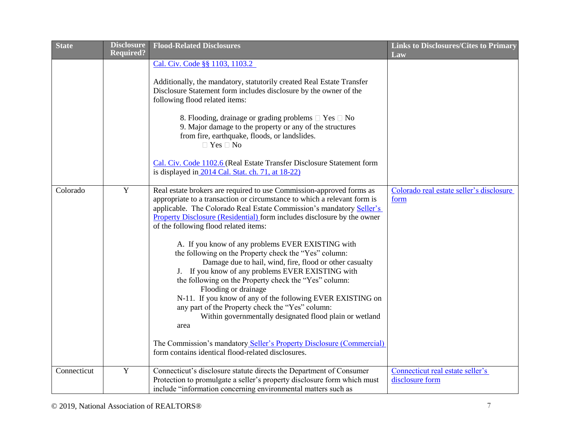| <b>State</b> | <b>Disclosure</b><br>Required? | <b>Flood-Related Disclosures</b>                                                                                                                                                                                                                                                                                                                                                                                                                                                                                      | <b>Links to Disclosures/Cites to Primary</b>        |
|--------------|--------------------------------|-----------------------------------------------------------------------------------------------------------------------------------------------------------------------------------------------------------------------------------------------------------------------------------------------------------------------------------------------------------------------------------------------------------------------------------------------------------------------------------------------------------------------|-----------------------------------------------------|
|              |                                | Cal. Civ. Code §§ 1103, 1103.2<br>Additionally, the mandatory, statutorily created Real Estate Transfer                                                                                                                                                                                                                                                                                                                                                                                                               | Law                                                 |
|              |                                | Disclosure Statement form includes disclosure by the owner of the<br>following flood related items:                                                                                                                                                                                                                                                                                                                                                                                                                   |                                                     |
|              |                                | 8. Flooding, drainage or grading problems $\Box$ Yes $\Box$ No<br>9. Major damage to the property or any of the structures<br>from fire, earthquake, floods, or landslides.<br>$\Box$ Yes $\Box$ No                                                                                                                                                                                                                                                                                                                   |                                                     |
|              |                                | Cal. Civ. Code 1102.6 (Real Estate Transfer Disclosure Statement form<br>is displayed in 2014 Cal. Stat. ch. 71, at 18-22)                                                                                                                                                                                                                                                                                                                                                                                            |                                                     |
| Colorado     | Y                              | Real estate brokers are required to use Commission-approved forms as<br>appropriate to a transaction or circumstance to which a relevant form is<br>applicable. The Colorado Real Estate Commission's mandatory Seller's<br>Property Disclosure (Residential) form includes disclosure by the owner<br>of the following flood related items:<br>A. If you know of any problems EVER EXISTING with<br>the following on the Property check the "Yes" column:<br>Damage due to hail, wind, fire, flood or other casualty | Colorado real estate seller's disclosure<br>form    |
|              |                                | J. If you know of any problems EVER EXISTING with<br>the following on the Property check the "Yes" column:<br>Flooding or drainage<br>N-11. If you know of any of the following EVER EXISTING on<br>any part of the Property check the "Yes" column:<br>Within governmentally designated flood plain or wetland<br>area                                                                                                                                                                                               |                                                     |
|              |                                | The Commission's mandatory Seller's Property Disclosure (Commercial)<br>form contains identical flood-related disclosures.                                                                                                                                                                                                                                                                                                                                                                                            |                                                     |
| Connecticut  | $\mathbf Y$                    | Connecticut's disclosure statute directs the Department of Consumer<br>Protection to promulgate a seller's property disclosure form which must<br>include "information concerning environmental matters such as                                                                                                                                                                                                                                                                                                       | Connecticut real estate seller's<br>disclosure form |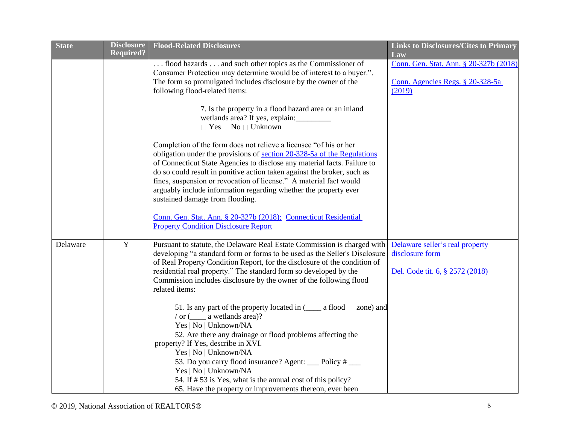| <b>State</b> | <b>Disclosure</b><br><b>Required?</b> | <b>Flood-Related Disclosures</b>                                                                                                                                                                                                                     | <b>Links to Disclosures/Cites to Primary</b>  |
|--------------|---------------------------------------|------------------------------------------------------------------------------------------------------------------------------------------------------------------------------------------------------------------------------------------------------|-----------------------------------------------|
|              |                                       | flood hazards  and such other topics as the Commissioner of                                                                                                                                                                                          | Law<br>Conn. Gen. Stat. Ann. § 20-327b (2018) |
|              |                                       | Consumer Protection may determine would be of interest to a buyer.".<br>The form so promulgated includes disclosure by the owner of the                                                                                                              | Conn. Agencies Regs. § 20-328-5a              |
|              |                                       | following flood-related items:                                                                                                                                                                                                                       | (2019)                                        |
|              |                                       | 7. Is the property in a flood hazard area or an inland<br>wetlands area? If yes, explain:<br>$\Box$ Yes $\Box$ No $\Box$ Unknown                                                                                                                     |                                               |
|              |                                       | Completion of the form does not relieve a licensee "of his or her<br>obligation under the provisions of section 20-328-5a of the Regulations<br>of Connecticut State Agencies to disclose any material facts. Failure to                             |                                               |
|              |                                       | do so could result in punitive action taken against the broker, such as<br>fines, suspension or revocation of license." A material fact would<br>arguably include information regarding whether the property ever<br>sustained damage from flooding. |                                               |
|              |                                       | Conn. Gen. Stat. Ann. § 20-327b (2018); Connecticut Residential<br><b>Property Condition Disclosure Report</b>                                                                                                                                       |                                               |
| Delaware     | $\mathbf Y$                           | Pursuant to statute, the Delaware Real Estate Commission is charged with                                                                                                                                                                             | Delaware seller's real property               |
|              |                                       | developing "a standard form or forms to be used as the Seller's Disclosure<br>of Real Property Condition Report, for the disclosure of the condition of                                                                                              | disclosure form                               |
|              |                                       | residential real property." The standard form so developed by the                                                                                                                                                                                    | Del. Code tit. 6, § 2572 (2018)               |
|              |                                       | Commission includes disclosure by the owner of the following flood<br>related items:                                                                                                                                                                 |                                               |
|              |                                       | 51. Is any part of the property located in (____ a flood<br>zone) and<br>$\frac{1}{\alpha}$ or $\frac{1}{\alpha}$ a wetlands area)?<br>Yes   No   Unknown/NA                                                                                         |                                               |
|              |                                       | 52. Are there any drainage or flood problems affecting the<br>property? If Yes, describe in XVI.                                                                                                                                                     |                                               |
|              |                                       | Yes   No   Unknown/NA                                                                                                                                                                                                                                |                                               |
|              |                                       | 53. Do you carry flood insurance? Agent: ___ Policy # ___                                                                                                                                                                                            |                                               |
|              |                                       | Yes   No   Unknown/NA                                                                                                                                                                                                                                |                                               |
|              |                                       | 54. If # 53 is Yes, what is the annual cost of this policy?<br>65. Have the property or improvements thereon, ever been                                                                                                                              |                                               |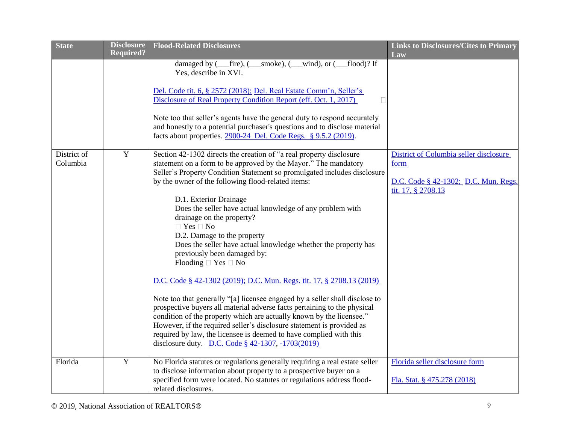| <b>State</b>            | <b>Disclosure</b> | <b>Flood-Related Disclosures</b>                                                                                                                                                                                                                                                                                                                                                                                                                                                                                                                                                                                                                                                                                                                                                                                                                                                                                                                                                                                                                                                                      | <b>Links to Disclosures/Cites to Primary</b>                                                                 |
|-------------------------|-------------------|-------------------------------------------------------------------------------------------------------------------------------------------------------------------------------------------------------------------------------------------------------------------------------------------------------------------------------------------------------------------------------------------------------------------------------------------------------------------------------------------------------------------------------------------------------------------------------------------------------------------------------------------------------------------------------------------------------------------------------------------------------------------------------------------------------------------------------------------------------------------------------------------------------------------------------------------------------------------------------------------------------------------------------------------------------------------------------------------------------|--------------------------------------------------------------------------------------------------------------|
|                         | <b>Required?</b>  | damaged by ( <i>__fire</i> ), ( <i>__smoke</i> ), ( <i>__wind</i> ), or ( <i>_</i><br>flood)? If<br>Yes, describe in XVI.<br>Del. Code tit. 6, § 2572 (2018); Del. Real Estate Comm'n, Seller's<br>Disclosure of Real Property Condition Report (eff. Oct. 1, 2017)<br>Note too that seller's agents have the general duty to respond accurately<br>and honestly to a potential purchaser's questions and to disclose material<br>facts about properties. 2900-24 Del. Code Regs. § 9.5.2 (2019).                                                                                                                                                                                                                                                                                                                                                                                                                                                                                                                                                                                                     | Law                                                                                                          |
| District of<br>Columbia | $\mathbf Y$       | Section 42-1302 directs the creation of "a real property disclosure<br>statement on a form to be approved by the Mayor." The mandatory<br>Seller's Property Condition Statement so promulgated includes disclosure<br>by the owner of the following flood-related items:<br>D.1. Exterior Drainage<br>Does the seller have actual knowledge of any problem with<br>drainage on the property?<br>$\Box$ Yes $\Box$ No<br>D.2. Damage to the property<br>Does the seller have actual knowledge whether the property has<br>previously been damaged by:<br>Flooding $\Box$ Yes $\Box$ No<br>D.C. Code § 42-1302 (2019); D.C. Mun. Regs. tit. 17, § 2708.13 (2019)<br>Note too that generally "[a] licensee engaged by a seller shall disclose to<br>prospective buyers all material adverse facts pertaining to the physical<br>condition of the property which are actually known by the licensee."<br>However, if the required seller's disclosure statement is provided as<br>required by law, the licensee is deemed to have complied with this<br>disclosure duty. D.C. Code § 42-1307, -1703(2019) | District of Columbia seller disclosure<br>form<br>D.C. Code § 42-1302; D.C. Mun. Regs.<br>tit. 17, § 2708.13 |
| Florida                 | $\mathbf Y$       | No Florida statutes or regulations generally requiring a real estate seller<br>to disclose information about property to a prospective buyer on a<br>specified form were located. No statutes or regulations address flood-<br>related disclosures.                                                                                                                                                                                                                                                                                                                                                                                                                                                                                                                                                                                                                                                                                                                                                                                                                                                   | Florida seller disclosure form<br>Fla. Stat. § 475.278 (2018)                                                |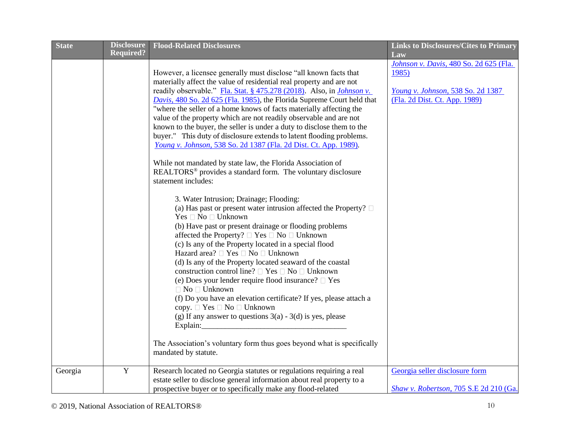| <b>State</b> | <b>Disclosure</b> | <b>Flood-Related Disclosures</b>                                                                                                                                                                                                                                                                                                                                                                                                                                                                                                                                                                                                                                                                                                                                                                                                                                                                             | <b>Links to Disclosures/Cites to Primary</b>                                                                          |
|--------------|-------------------|--------------------------------------------------------------------------------------------------------------------------------------------------------------------------------------------------------------------------------------------------------------------------------------------------------------------------------------------------------------------------------------------------------------------------------------------------------------------------------------------------------------------------------------------------------------------------------------------------------------------------------------------------------------------------------------------------------------------------------------------------------------------------------------------------------------------------------------------------------------------------------------------------------------|-----------------------------------------------------------------------------------------------------------------------|
|              | <b>Required?</b>  |                                                                                                                                                                                                                                                                                                                                                                                                                                                                                                                                                                                                                                                                                                                                                                                                                                                                                                              | Law                                                                                                                   |
|              |                   | However, a licensee generally must disclose "all known facts that<br>materially affect the value of residential real property and are not<br>readily observable." Fla. Stat. § 475.278 (2018). Also, in <i>Johnson v</i> .<br>Davis, 480 So. 2d 625 (Fla. 1985), the Florida Supreme Court held that<br>"where the seller of a home knows of facts materially affecting the<br>value of the property which are not readily observable and are not<br>known to the buyer, the seller is under a duty to disclose them to the<br>buyer." This duty of disclosure extends to latent flooding problems.<br>Young v. Johnson, 538 So. 2d 1387 (Fla. 2d Dist. Ct. App. 1989).<br>While not mandated by state law, the Florida Association of<br>REALTORS <sup>®</sup> provides a standard form. The voluntary disclosure                                                                                           | Johnson v. Davis, 480 So. 2d 625 (Fla.<br>1985)<br>Young v. Johnson, 538 So. 2d 1387<br>(Fla. 2d Dist. Ct. App. 1989) |
|              |                   | statement includes:<br>3. Water Intrusion; Drainage; Flooding:<br>(a) Has past or present water intrusion affected the Property? $\square$<br>Yes □ No □ Unknown<br>(b) Have past or present drainage or flooding problems<br>affected the Property? $\square$ Yes $\square$ No $\square$ Unknown<br>(c) Is any of the Property located in a special flood<br>Hazard area? □ Yes □ No □ Unknown<br>(d) Is any of the Property located seaward of the coastal<br>construction control line? $\Box$ Yes $\Box$ No $\Box$ Unknown<br>(e) Does your lender require flood insurance? $\square$ Yes<br>$\Box$ No $\Box$ Unknown<br>(f) Do you have an elevation certificate? If yes, please attach a<br>copy. $\Box$ Yes $\Box$ No $\Box$ Unknown<br>(g) If any answer to questions $3(a) - 3(d)$ is yes, please<br>The Association's voluntary form thus goes beyond what is specifically<br>mandated by statute. |                                                                                                                       |
| Georgia      | $\mathbf Y$       | Research located no Georgia statutes or regulations requiring a real<br>estate seller to disclose general information about real property to a<br>prospective buyer or to specifically make any flood-related                                                                                                                                                                                                                                                                                                                                                                                                                                                                                                                                                                                                                                                                                                | Georgia seller disclosure form<br>Shaw v. Robertson, 705 S.E 2d 210 (Ga.                                              |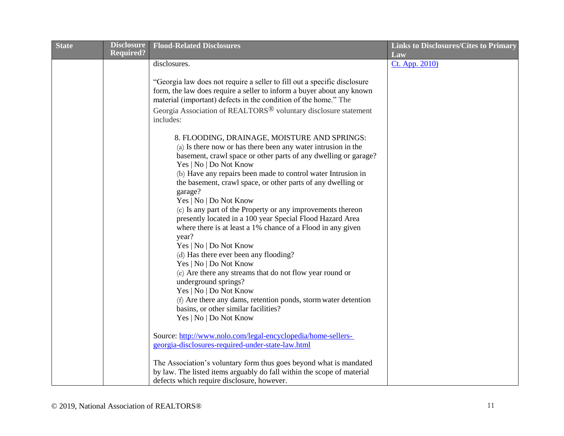| <b>State</b> | <b>Disclosure</b> | <b>Flood-Related Disclosures</b>                                                                                                                  | <b>Links to Disclosures/Cites to Primary</b> |
|--------------|-------------------|---------------------------------------------------------------------------------------------------------------------------------------------------|----------------------------------------------|
|              | <b>Required?</b>  |                                                                                                                                                   | Law                                          |
|              |                   | disclosures.                                                                                                                                      | Ct. App. 2010)                               |
|              |                   |                                                                                                                                                   |                                              |
|              |                   | "Georgia law does not require a seller to fill out a specific disclosure<br>form, the law does require a seller to inform a buyer about any known |                                              |
|              |                   | material (important) defects in the condition of the home." The                                                                                   |                                              |
|              |                   |                                                                                                                                                   |                                              |
|              |                   | Georgia Association of REALTORS <sup>®</sup> voluntary disclosure statement                                                                       |                                              |
|              |                   | includes:                                                                                                                                         |                                              |
|              |                   | 8. FLOODING, DRAINAGE, MOISTURE AND SPRINGS:                                                                                                      |                                              |
|              |                   | (a) Is there now or has there been any water intrusion in the                                                                                     |                                              |
|              |                   | basement, crawl space or other parts of any dwelling or garage?                                                                                   |                                              |
|              |                   | Yes   No   Do Not Know                                                                                                                            |                                              |
|              |                   | (b) Have any repairs been made to control water Intrusion in                                                                                      |                                              |
|              |                   | the basement, crawl space, or other parts of any dwelling or                                                                                      |                                              |
|              |                   | garage?                                                                                                                                           |                                              |
|              |                   | Yes   No   Do Not Know                                                                                                                            |                                              |
|              |                   | (c) Is any part of the Property or any improvements thereon                                                                                       |                                              |
|              |                   | presently located in a 100 year Special Flood Hazard Area                                                                                         |                                              |
|              |                   | where there is at least a 1% chance of a Flood in any given                                                                                       |                                              |
|              |                   | year?                                                                                                                                             |                                              |
|              |                   | Yes   No   Do Not Know                                                                                                                            |                                              |
|              |                   | (d) Has there ever been any flooding?                                                                                                             |                                              |
|              |                   | Yes   No   Do Not Know                                                                                                                            |                                              |
|              |                   | (e) Are there any streams that do not flow year round or                                                                                          |                                              |
|              |                   | underground springs?                                                                                                                              |                                              |
|              |                   | Yes   No   Do Not Know                                                                                                                            |                                              |
|              |                   | (f) Are there any dams, retention ponds, storm water detention                                                                                    |                                              |
|              |                   | basins, or other similar facilities?                                                                                                              |                                              |
|              |                   | Yes   No   Do Not Know                                                                                                                            |                                              |
|              |                   | Source: http://www.nolo.com/legal-encyclopedia/home-sellers-                                                                                      |                                              |
|              |                   | georgia-disclosures-required-under-state-law.html                                                                                                 |                                              |
|              |                   |                                                                                                                                                   |                                              |
|              |                   | The Association's voluntary form thus goes beyond what is mandated                                                                                |                                              |
|              |                   | by law. The listed items arguably do fall within the scope of material                                                                            |                                              |
|              |                   | defects which require disclosure, however.                                                                                                        |                                              |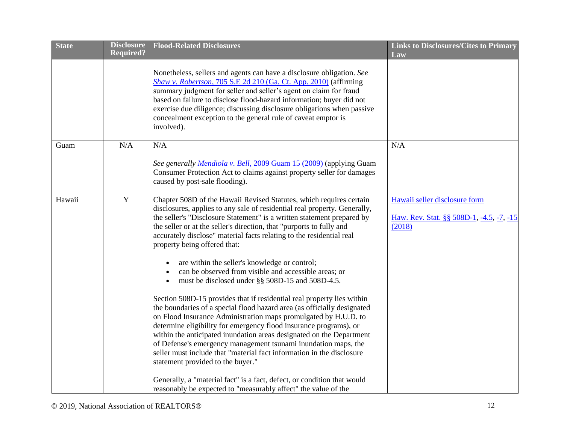| <b>State</b> | <b>Disclosure</b> | <b>Flood-Related Disclosures</b>                                                                                                                                                                                                                                                                                                                                                                                                                                                                                                                                                                                                                                                                                                                                                                                                                                                                                                                                                                                                                                                                                                                                                                                                                                           | <b>Links to Disclosures/Cites to Primary</b>                                        |
|--------------|-------------------|----------------------------------------------------------------------------------------------------------------------------------------------------------------------------------------------------------------------------------------------------------------------------------------------------------------------------------------------------------------------------------------------------------------------------------------------------------------------------------------------------------------------------------------------------------------------------------------------------------------------------------------------------------------------------------------------------------------------------------------------------------------------------------------------------------------------------------------------------------------------------------------------------------------------------------------------------------------------------------------------------------------------------------------------------------------------------------------------------------------------------------------------------------------------------------------------------------------------------------------------------------------------------|-------------------------------------------------------------------------------------|
|              | <b>Required?</b>  |                                                                                                                                                                                                                                                                                                                                                                                                                                                                                                                                                                                                                                                                                                                                                                                                                                                                                                                                                                                                                                                                                                                                                                                                                                                                            | Law                                                                                 |
|              |                   | Nonetheless, sellers and agents can have a disclosure obligation. See<br>Shaw v. Robertson, 705 S.E 2d 210 (Ga. Ct. App. 2010) (affirming<br>summary judgment for seller and seller's agent on claim for fraud<br>based on failure to disclose flood-hazard information; buyer did not<br>exercise due diligence; discussing disclosure obligations when passive<br>concealment exception to the general rule of caveat emptor is<br>involved).                                                                                                                                                                                                                                                                                                                                                                                                                                                                                                                                                                                                                                                                                                                                                                                                                            |                                                                                     |
| Guam         | N/A               | N/A                                                                                                                                                                                                                                                                                                                                                                                                                                                                                                                                                                                                                                                                                                                                                                                                                                                                                                                                                                                                                                                                                                                                                                                                                                                                        | N/A                                                                                 |
|              |                   | See generally Mendiola v. Bell, 2009 Guam 15 (2009) (applying Guam<br>Consumer Protection Act to claims against property seller for damages<br>caused by post-sale flooding).                                                                                                                                                                                                                                                                                                                                                                                                                                                                                                                                                                                                                                                                                                                                                                                                                                                                                                                                                                                                                                                                                              |                                                                                     |
| Hawaii       | Y                 | Chapter 508D of the Hawaii Revised Statutes, which requires certain<br>disclosures, applies to any sale of residential real property. Generally,<br>the seller's "Disclosure Statement" is a written statement prepared by<br>the seller or at the seller's direction, that "purports to fully and<br>accurately disclose" material facts relating to the residential real<br>property being offered that:<br>are within the seller's knowledge or control;<br>can be observed from visible and accessible areas; or<br>must be disclosed under §§ 508D-15 and 508D-4.5.<br>Section 508D-15 provides that if residential real property lies within<br>the boundaries of a special flood hazard area (as officially designated<br>on Flood Insurance Administration maps promulgated by H.U.D. to<br>determine eligibility for emergency flood insurance programs), or<br>within the anticipated inundation areas designated on the Department<br>of Defense's emergency management tsunami inundation maps, the<br>seller must include that "material fact information in the disclosure<br>statement provided to the buyer."<br>Generally, a "material fact" is a fact, defect, or condition that would<br>reasonably be expected to "measurably affect" the value of the | Hawaii seller disclosure form<br>Haw. Rev. Stat. §§ 508D-1, -4.5, -7, -15<br>(2018) |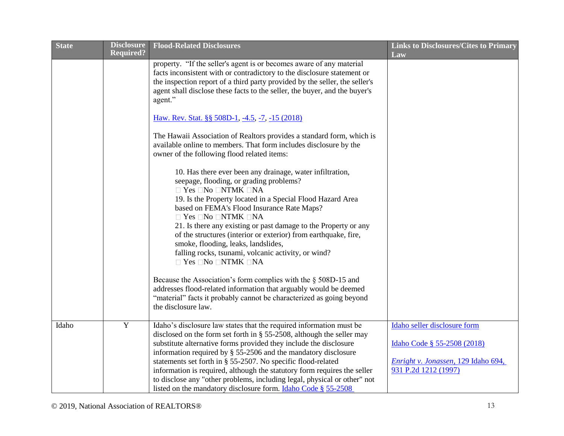| <b>State</b> | <b>Disclosure</b> | <b>Flood-Related Disclosures</b>                                                                                                                                                                                                                                                                                                                                                                                                                                                                                                                                                               | <b>Links to Disclosures/Cites to Primary</b>                                                                               |
|--------------|-------------------|------------------------------------------------------------------------------------------------------------------------------------------------------------------------------------------------------------------------------------------------------------------------------------------------------------------------------------------------------------------------------------------------------------------------------------------------------------------------------------------------------------------------------------------------------------------------------------------------|----------------------------------------------------------------------------------------------------------------------------|
|              | <b>Required?</b>  |                                                                                                                                                                                                                                                                                                                                                                                                                                                                                                                                                                                                | Law                                                                                                                        |
|              |                   | property. "If the seller's agent is or becomes aware of any material<br>facts inconsistent with or contradictory to the disclosure statement or<br>the inspection report of a third party provided by the seller, the seller's<br>agent shall disclose these facts to the seller, the buyer, and the buyer's<br>agent."                                                                                                                                                                                                                                                                        |                                                                                                                            |
|              |                   | Haw. Rev. Stat. §§ 508D-1, -4.5, -7, -15 (2018)                                                                                                                                                                                                                                                                                                                                                                                                                                                                                                                                                |                                                                                                                            |
|              |                   | The Hawaii Association of Realtors provides a standard form, which is<br>available online to members. That form includes disclosure by the<br>owner of the following flood related items:                                                                                                                                                                                                                                                                                                                                                                                                      |                                                                                                                            |
|              |                   | 10. Has there ever been any drainage, water infiltration,<br>seepage, flooding, or grading problems?<br>$\Box$ Yes $\Box$ No $\Box$ NTMK $\Box$ NA<br>19. Is the Property located in a Special Flood Hazard Area<br>based on FEMA's Flood Insurance Rate Maps?<br>$\Box$ Yes $\Box$ No $\Box$ NTMK $\Box$ NA<br>21. Is there any existing or past damage to the Property or any<br>of the structures (interior or exterior) from earthquake, fire,<br>smoke, flooding, leaks, landslides,<br>falling rocks, tsunami, volcanic activity, or wind?<br>$\Box$ Yes $\Box$ No $\Box$ NTMK $\Box$ NA |                                                                                                                            |
|              |                   | Because the Association's form complies with the $\S$ 508D-15 and<br>addresses flood-related information that arguably would be deemed<br>"material" facts it probably cannot be characterized as going beyond<br>the disclosure law.                                                                                                                                                                                                                                                                                                                                                          |                                                                                                                            |
| Idaho        | $\mathbf Y$       | Idaho's disclosure law states that the required information must be<br>disclosed on the form set forth in $\S$ 55-2508, although the seller may<br>substitute alternative forms provided they include the disclosure<br>information required by § 55-2506 and the mandatory disclosure<br>statements set forth in § 55-2507. No specific flood-related<br>information is required, although the statutory form requires the seller<br>to disclose any "other problems, including legal, physical or other" not<br>listed on the mandatory disclosure form. Idaho Code § 55-2508                | Idaho seller disclosure form<br>Idaho Code § 55-2508 (2018)<br>Enright v. Jonassen, 129 Idaho 694,<br>931 P.2d 1212 (1997) |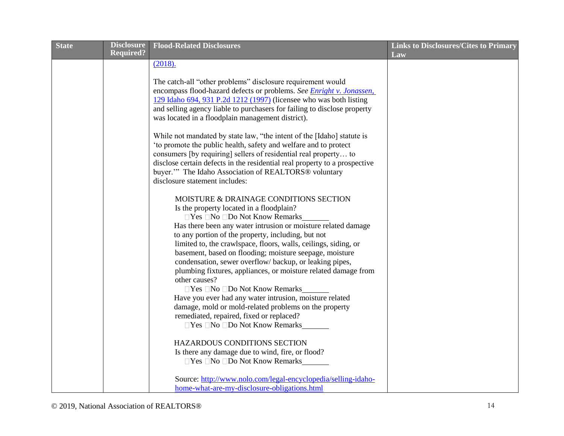| <b>State</b> | <b>Disclosure</b> | <b>Flood-Related Disclosures</b>                                             | <b>Links to Disclosures/Cites to Primary</b> |
|--------------|-------------------|------------------------------------------------------------------------------|----------------------------------------------|
|              | <b>Required?</b>  |                                                                              | Law                                          |
|              |                   | (2018).                                                                      |                                              |
|              |                   |                                                                              |                                              |
|              |                   | The catch-all "other problems" disclosure requirement would                  |                                              |
|              |                   | encompass flood-hazard defects or problems. See <i>Enright v. Jonassen</i> , |                                              |
|              |                   | 129 Idaho 694, 931 P.2d 1212 (1997) (licensee who was both listing           |                                              |
|              |                   | and selling agency liable to purchasers for failing to disclose property     |                                              |
|              |                   | was located in a floodplain management district).                            |                                              |
|              |                   | While not mandated by state law, "the intent of the [Idaho] statute is       |                                              |
|              |                   | 'to promote the public health, safety and welfare and to protect             |                                              |
|              |                   | consumers [by requiring] sellers of residential real property to             |                                              |
|              |                   | disclose certain defects in the residential real property to a prospective   |                                              |
|              |                   | buyer."" The Idaho Association of REALTORS® voluntary                        |                                              |
|              |                   | disclosure statement includes:                                               |                                              |
|              |                   | MOISTURE & DRAINAGE CONDITIONS SECTION                                       |                                              |
|              |                   | Is the property located in a floodplain?                                     |                                              |
|              |                   | $\Box$ Yes $\Box$ No $\Box$ Do Not Know Remarks                              |                                              |
|              |                   | Has there been any water intrusion or moisture related damage                |                                              |
|              |                   | to any portion of the property, including, but not                           |                                              |
|              |                   | limited to, the crawlspace, floors, walls, ceilings, siding, or              |                                              |
|              |                   | basement, based on flooding; moisture seepage, moisture                      |                                              |
|              |                   | condensation, sewer overflow/backup, or leaking pipes,                       |                                              |
|              |                   | plumbing fixtures, appliances, or moisture related damage from               |                                              |
|              |                   | other causes?                                                                |                                              |
|              |                   | □ Yes □ No □ Do Not Know Remarks                                             |                                              |
|              |                   | Have you ever had any water intrusion, moisture related                      |                                              |
|              |                   | damage, mold or mold-related problems on the property                        |                                              |
|              |                   | remediated, repaired, fixed or replaced?                                     |                                              |
|              |                   | □ Yes □ No □ Do Not Know Remarks                                             |                                              |
|              |                   | HAZARDOUS CONDITIONS SECTION                                                 |                                              |
|              |                   | Is there any damage due to wind, fire, or flood?                             |                                              |
|              |                   | □ Yes □ No □ Do Not Know Remarks                                             |                                              |
|              |                   |                                                                              |                                              |
|              |                   | Source: http://www.nolo.com/legal-encyclopedia/selling-idaho-                |                                              |
|              |                   | home-what-are-my-disclosure-obligations.html                                 |                                              |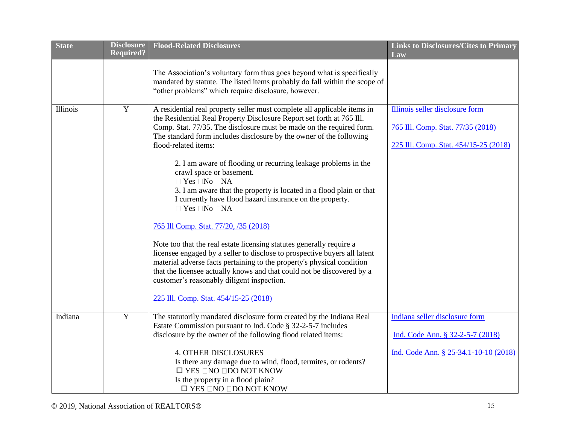| <b>State</b> | <b>Disclosure</b> | <b>Flood-Related Disclosures</b>                                                                                                                                                                                                                                                                                                                                                                                                                                                                                                                                                                                                                                                                                                                                                                                                                                                                                                                                                                                                                                       | <b>Links to Disclosures/Cites to Primary</b>                                                                  |
|--------------|-------------------|------------------------------------------------------------------------------------------------------------------------------------------------------------------------------------------------------------------------------------------------------------------------------------------------------------------------------------------------------------------------------------------------------------------------------------------------------------------------------------------------------------------------------------------------------------------------------------------------------------------------------------------------------------------------------------------------------------------------------------------------------------------------------------------------------------------------------------------------------------------------------------------------------------------------------------------------------------------------------------------------------------------------------------------------------------------------|---------------------------------------------------------------------------------------------------------------|
|              | <b>Required?</b>  |                                                                                                                                                                                                                                                                                                                                                                                                                                                                                                                                                                                                                                                                                                                                                                                                                                                                                                                                                                                                                                                                        | Law                                                                                                           |
|              |                   | The Association's voluntary form thus goes beyond what is specifically<br>mandated by statute. The listed items probably do fall within the scope of<br>"other problems" which require disclosure, however.                                                                                                                                                                                                                                                                                                                                                                                                                                                                                                                                                                                                                                                                                                                                                                                                                                                            |                                                                                                               |
| Illinois     | Y                 | A residential real property seller must complete all applicable items in<br>the Residential Real Property Disclosure Report set forth at 765 Ill.<br>Comp. Stat. 77/35. The disclosure must be made on the required form.<br>The standard form includes disclosure by the owner of the following<br>flood-related items:<br>2. I am aware of flooding or recurring leakage problems in the<br>crawl space or basement.<br>$\Box$ Yes $\Box$ No $\Box$ NA<br>3. I am aware that the property is located in a flood plain or that<br>I currently have flood hazard insurance on the property.<br>$\Box$ Yes $\Box$ No $\Box$ NA<br>765 Ill Comp. Stat. 77/20, /35 (2018)<br>Note too that the real estate licensing statutes generally require a<br>licensee engaged by a seller to disclose to prospective buyers all latent<br>material adverse facts pertaining to the property's physical condition<br>that the licensee actually knows and that could not be discovered by a<br>customer's reasonably diligent inspection.<br>225 Ill. Comp. Stat. 454/15-25 (2018) | Illinois seller disclosure form<br>765 Ill. Comp. Stat. 77/35 (2018)<br>225 Ill. Comp. Stat. 454/15-25 (2018) |
| Indiana      | $\mathbf Y$       | The statutorily mandated disclosure form created by the Indiana Real<br>Estate Commission pursuant to Ind. Code § 32-2-5-7 includes<br>disclosure by the owner of the following flood related items:<br><b>4. OTHER DISCLOSURES</b><br>Is there any damage due to wind, flood, termites, or rodents?<br>$\square$ YES $\square$ NO $\square$ DO NOT KNOW<br>Is the property in a flood plain?<br>$\square$ YES $\square$ NO $\square$ DO NOT KNOW                                                                                                                                                                                                                                                                                                                                                                                                                                                                                                                                                                                                                      | Indiana seller disclosure form<br>Ind. Code Ann. § 32-2-5-7 (2018)<br>Ind. Code Ann. § 25-34.1-10-10 (2018)   |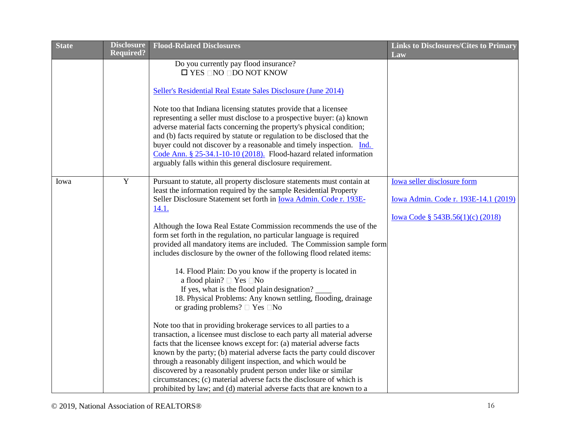| <b>State</b> | <b>Disclosure</b> | <b>Flood-Related Disclosures</b>                                                                                                                 | <b>Links to Disclosures/Cites to Primary</b> |
|--------------|-------------------|--------------------------------------------------------------------------------------------------------------------------------------------------|----------------------------------------------|
|              | <b>Required?</b>  |                                                                                                                                                  | Law                                          |
|              |                   | Do you currently pay flood insurance?<br>$\square$ YES $\square$ NO $\square$ DO NOT KNOW                                                        |                                              |
|              |                   |                                                                                                                                                  |                                              |
|              |                   | Seller's Residential Real Estate Sales Disclosure (June 2014)                                                                                    |                                              |
|              |                   |                                                                                                                                                  |                                              |
|              |                   | Note too that Indiana licensing statutes provide that a licensee                                                                                 |                                              |
|              |                   | representing a seller must disclose to a prospective buyer: (a) known                                                                            |                                              |
|              |                   | adverse material facts concerning the property's physical condition;                                                                             |                                              |
|              |                   | and (b) facts required by statute or regulation to be disclosed that the<br>buyer could not discover by a reasonable and timely inspection. Ind. |                                              |
|              |                   | Code Ann. § 25-34.1-10-10 (2018). Flood-hazard related information                                                                               |                                              |
|              |                   | arguably falls within this general disclosure requirement.                                                                                       |                                              |
|              |                   |                                                                                                                                                  |                                              |
| Iowa         | $\mathbf Y$       | Pursuant to statute, all property disclosure statements must contain at                                                                          | <b>Iowa seller disclosure form</b>           |
|              |                   | least the information required by the sample Residential Property                                                                                |                                              |
|              |                   | Seller Disclosure Statement set forth in Iowa Admin. Code r. 193E-                                                                               | Iowa Admin. Code r. 193E-14.1 (2019)         |
|              |                   | <u>14.1.</u>                                                                                                                                     |                                              |
|              |                   |                                                                                                                                                  | <u>Iowa Code § 543B.56(1)(c) (2018)</u>      |
|              |                   | Although the Iowa Real Estate Commission recommends the use of the<br>form set forth in the regulation, no particular language is required       |                                              |
|              |                   | provided all mandatory items are included. The Commission sample form                                                                            |                                              |
|              |                   | includes disclosure by the owner of the following flood related items:                                                                           |                                              |
|              |                   |                                                                                                                                                  |                                              |
|              |                   | 14. Flood Plain: Do you know if the property is located in                                                                                       |                                              |
|              |                   | a flood plain? $\Box$ Yes $\Box$ No                                                                                                              |                                              |
|              |                   | If yes, what is the flood plain designation?                                                                                                     |                                              |
|              |                   | 18. Physical Problems: Any known settling, flooding, drainage                                                                                    |                                              |
|              |                   | or grading problems? $\Box$ Yes $\Box$ No                                                                                                        |                                              |
|              |                   | Note too that in providing brokerage services to all parties to a                                                                                |                                              |
|              |                   | transaction, a licensee must disclose to each party all material adverse                                                                         |                                              |
|              |                   | facts that the licensee knows except for: (a) material adverse facts                                                                             |                                              |
|              |                   | known by the party; (b) material adverse facts the party could discover                                                                          |                                              |
|              |                   | through a reasonably diligent inspection, and which would be                                                                                     |                                              |
|              |                   | discovered by a reasonably prudent person under like or similar                                                                                  |                                              |
|              |                   | circumstances; (c) material adverse facts the disclosure of which is                                                                             |                                              |
|              |                   | prohibited by law; and (d) material adverse facts that are known to a                                                                            |                                              |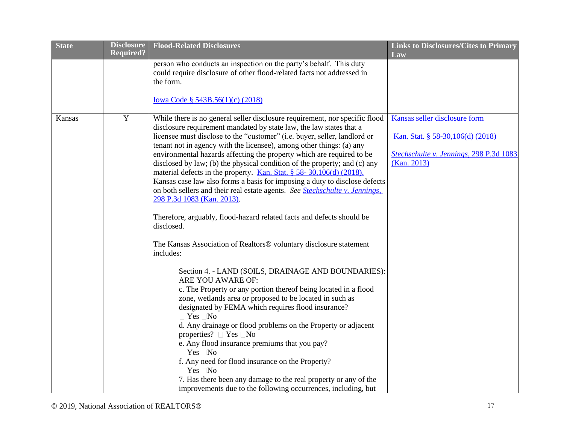| <b>State</b> | <b>Disclosure</b> | <b>Flood-Related Disclosures</b>                                                                                                                   | <b>Links to Disclosures/Cites to Primary</b>           |
|--------------|-------------------|----------------------------------------------------------------------------------------------------------------------------------------------------|--------------------------------------------------------|
|              | <b>Required?</b>  |                                                                                                                                                    | Law                                                    |
|              |                   | person who conducts an inspection on the party's behalf. This duty<br>could require disclosure of other flood-related facts not addressed in       |                                                        |
|              |                   | the form.                                                                                                                                          |                                                        |
|              |                   |                                                                                                                                                    |                                                        |
|              |                   | <u>Iowa Code § 543B.56(1)(c) (2018)</u>                                                                                                            |                                                        |
| Kansas       | $\mathbf Y$       | While there is no general seller disclosure requirement, nor specific flood                                                                        | Kansas seller disclosure form                          |
|              |                   | disclosure requirement mandated by state law, the law states that a                                                                                |                                                        |
|              |                   | licensee must disclose to the "customer" (i.e. buyer, seller, landlord or                                                                          | <u>Kan. Stat. § 58-30,106(d) (2018)</u>                |
|              |                   | tenant not in agency with the licensee), among other things: (a) any                                                                               |                                                        |
|              |                   | environmental hazards affecting the property which are required to be<br>disclosed by law; (b) the physical condition of the property; and (c) any | Stechschulte v. Jennings, 298 P.3d 1083<br>(Kan. 2013) |
|              |                   | material defects in the property. Kan. Stat. § 58-30,106(d) (2018).                                                                                |                                                        |
|              |                   | Kansas case law also forms a basis for imposing a duty to disclose defects                                                                         |                                                        |
|              |                   | on both sellers and their real estate agents. See Stechschulte v. Jennings,                                                                        |                                                        |
|              |                   | 298 P.3d 1083 (Kan. 2013).                                                                                                                         |                                                        |
|              |                   | Therefore, arguably, flood-hazard related facts and defects should be<br>disclosed.                                                                |                                                        |
|              |                   | The Kansas Association of Realtors® voluntary disclosure statement<br>includes:                                                                    |                                                        |
|              |                   | Section 4. - LAND (SOILS, DRAINAGE AND BOUNDARIES):<br>ARE YOU AWARE OF:                                                                           |                                                        |
|              |                   | c. The Property or any portion thereof being located in a flood                                                                                    |                                                        |
|              |                   | zone, wetlands area or proposed to be located in such as                                                                                           |                                                        |
|              |                   | designated by FEMA which requires flood insurance?                                                                                                 |                                                        |
|              |                   | $\Box$ Yes $\Box$ No                                                                                                                               |                                                        |
|              |                   | d. Any drainage or flood problems on the Property or adjacent<br>properties? $\Box$ Yes $\Box$ No                                                  |                                                        |
|              |                   | e. Any flood insurance premiums that you pay?                                                                                                      |                                                        |
|              |                   | $\Box$ Yes $\Box$ No                                                                                                                               |                                                        |
|              |                   | f. Any need for flood insurance on the Property?                                                                                                   |                                                        |
|              |                   | $\Box$ Yes $\Box$ No                                                                                                                               |                                                        |
|              |                   | 7. Has there been any damage to the real property or any of the                                                                                    |                                                        |
|              |                   | improvements due to the following occurrences, including, but                                                                                      |                                                        |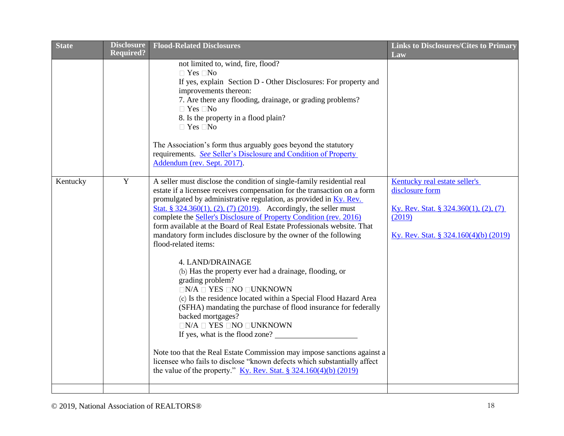| <b>State</b> | <b>Disclosure</b><br><b>Required?</b> | <b>Flood-Related Disclosures</b>                                                                                                                                                                                                                                                                                                                                                                                                                                                                                                                                                                                                                                                                                                                                                                                                                                                                                                                                                                                                                                                                                                                                                      | <b>Links to Disclosures/Cites to Primary</b>                                                                                                        |
|--------------|---------------------------------------|---------------------------------------------------------------------------------------------------------------------------------------------------------------------------------------------------------------------------------------------------------------------------------------------------------------------------------------------------------------------------------------------------------------------------------------------------------------------------------------------------------------------------------------------------------------------------------------------------------------------------------------------------------------------------------------------------------------------------------------------------------------------------------------------------------------------------------------------------------------------------------------------------------------------------------------------------------------------------------------------------------------------------------------------------------------------------------------------------------------------------------------------------------------------------------------|-----------------------------------------------------------------------------------------------------------------------------------------------------|
|              |                                       | not limited to, wind, fire, flood?<br>$\Box$ Yes $\Box$ No<br>If yes, explain Section D - Other Disclosures: For property and<br>improvements thereon:<br>7. Are there any flooding, drainage, or grading problems?<br>$\Box$ Yes $\Box$ No<br>8. Is the property in a flood plain?<br>$\Box$ Yes $\Box$ No<br>The Association's form thus arguably goes beyond the statutory<br>requirements. See Seller's Disclosure and Condition of Property<br>Addendum (rev. Sept. 2017).                                                                                                                                                                                                                                                                                                                                                                                                                                                                                                                                                                                                                                                                                                       | Law                                                                                                                                                 |
| Kentucky     | $\mathbf Y$                           | A seller must disclose the condition of single-family residential real<br>estate if a licensee receives compensation for the transaction on a form<br>promulgated by administrative regulation, as provided in <b>Ky. Rev.</b><br>Stat. § 324.360(1), (2), (7) (2019). Accordingly, the seller must<br>complete the Seller's Disclosure of Property Condition (rev. 2016)<br>form available at the Board of Real Estate Professionals website. That<br>mandatory form includes disclosure by the owner of the following<br>flood-related items:<br>4. LAND/DRAINAGE<br>(b) Has the property ever had a drainage, flooding, or<br>grading problem?<br>$\Box N/A \Box$ YES $\Box NO \Box UNKNOWN$<br>(c) Is the residence located within a Special Flood Hazard Area<br>(SFHA) mandating the purchase of flood insurance for federally<br>backed mortgages?<br>$\Box N/A \Box$ YES $\Box NO \Box UNKNOWN$<br>If yes, what is the flood zone?<br>Note too that the Real Estate Commission may impose sanctions against a<br>licensee who fails to disclose "known defects which substantially affect<br>the value of the property." $\underline{Ky}$ . Rev. Stat. § 324.160(4)(b) (2019) | Kentucky real estate seller's<br>disclosure form<br><u>Ky. Rev. Stat. § 324.360(1), (2), (7)</u><br>(2019)<br>Ky. Rev. Stat. § 324.160(4)(b) (2019) |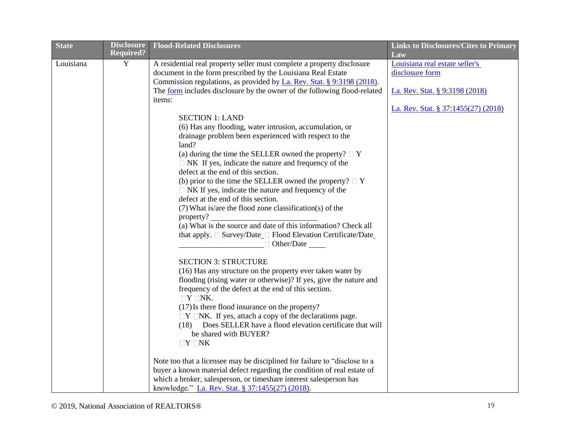| <b>State</b> | <b>Disclosure</b> | <b>Flood-Related Disclosures</b>                                          | <b>Links to Disclosures/Cites to Primary</b> |
|--------------|-------------------|---------------------------------------------------------------------------|----------------------------------------------|
|              | <b>Required?</b>  |                                                                           | Law                                          |
| Louisiana    | Y                 | A residential real property seller must complete a property disclosure    | Louisiana real estate seller's               |
|              |                   | document in the form prescribed by the Louisiana Real Estate              | disclosure form                              |
|              |                   | Commission regulations, as provided by La. Rev. Stat. § 9:3198 (2018).    |                                              |
|              |                   | The form includes disclosure by the owner of the following flood-related  | La. Rev. Stat. § 9:3198 (2018)               |
|              |                   | items:                                                                    |                                              |
|              |                   |                                                                           | La. Rev. Stat. § 37:1455(27) (2018)          |
|              |                   | <b>SECTION 1: LAND</b>                                                    |                                              |
|              |                   | (6) Has any flooding, water intrusion, accumulation, or                   |                                              |
|              |                   | drainage problem been experienced with respect to the                     |                                              |
|              |                   | land?                                                                     |                                              |
|              |                   | (a) during the time the SELLER owned the property? $\Box$ Y               |                                              |
|              |                   | $\Box$ NK If yes, indicate the nature and frequency of the                |                                              |
|              |                   | defect at the end of this section.                                        |                                              |
|              |                   | (b) prior to the time the SELLER owned the property? $\Box$ Y             |                                              |
|              |                   | $\Box$ NK If yes, indicate the nature and frequency of the                |                                              |
|              |                   | defect at the end of this section.                                        |                                              |
|              |                   | (7) What is/are the flood zone classification(s) of the                   |                                              |
|              |                   | property?                                                                 |                                              |
|              |                   | (a) What is the source and date of this information? Check all            |                                              |
|              |                   |                                                                           |                                              |
|              |                   | $\Box$ Other/Date                                                         |                                              |
|              |                   | <b>SECTION 3: STRUCTURE</b>                                               |                                              |
|              |                   | (16) Has any structure on the property ever taken water by                |                                              |
|              |                   | flooding (rising water or otherwise)? If yes, give the nature and         |                                              |
|              |                   | frequency of the defect at the end of this section.                       |                                              |
|              |                   | $\Box Y \Box NK.$                                                         |                                              |
|              |                   | (17) Is there flood insurance on the property?                            |                                              |
|              |                   | $\Box Y \Box NK$ . If yes, attach a copy of the declarations page.        |                                              |
|              |                   | Does SELLER have a flood elevation certificate that will<br>(18)          |                                              |
|              |                   | be shared with BUYER?                                                     |                                              |
|              |                   | $\Box Y \Box NK$                                                          |                                              |
|              |                   |                                                                           |                                              |
|              |                   | Note too that a licensee may be disciplined for failure to "disclose to a |                                              |
|              |                   | buyer a known material defect regarding the condition of real estate of   |                                              |
|              |                   | which a broker, salesperson, or timeshare interest salesperson has        |                                              |
|              |                   | knowledge." La. Rev. Stat. § 37:1455(27) (2018).                          |                                              |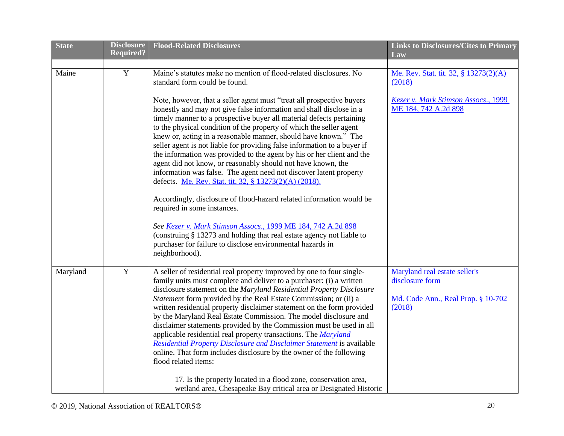| <b>State</b> | <b>Disclosure</b> | <b>Flood-Related Disclosures</b>                                                                                                                                                                                                                                                                                                                                                                                                                                                                                                                                                                                                                                                                                                                                                                                                                                                                                                                                                                                                    | <b>Links to Disclosures/Cites to Primary</b>                                                     |
|--------------|-------------------|-------------------------------------------------------------------------------------------------------------------------------------------------------------------------------------------------------------------------------------------------------------------------------------------------------------------------------------------------------------------------------------------------------------------------------------------------------------------------------------------------------------------------------------------------------------------------------------------------------------------------------------------------------------------------------------------------------------------------------------------------------------------------------------------------------------------------------------------------------------------------------------------------------------------------------------------------------------------------------------------------------------------------------------|--------------------------------------------------------------------------------------------------|
|              | <b>Required?</b>  |                                                                                                                                                                                                                                                                                                                                                                                                                                                                                                                                                                                                                                                                                                                                                                                                                                                                                                                                                                                                                                     | Law                                                                                              |
| Maine        | $\overline{Y}$    | Maine's statutes make no mention of flood-related disclosures. No<br>standard form could be found.                                                                                                                                                                                                                                                                                                                                                                                                                                                                                                                                                                                                                                                                                                                                                                                                                                                                                                                                  | Me. Rev. Stat. tit. 32, § 13273(2)(A)<br>(2018)                                                  |
|              |                   | Note, however, that a seller agent must "treat all prospective buyers"<br>honestly and may not give false information and shall disclose in a<br>timely manner to a prospective buyer all material defects pertaining<br>to the physical condition of the property of which the seller agent<br>knew or, acting in a reasonable manner, should have known." The<br>seller agent is not liable for providing false information to a buyer if<br>the information was provided to the agent by his or her client and the<br>agent did not know, or reasonably should not have known, the<br>information was false. The agent need not discover latent property<br>defects. Me. Rev. Stat. tit. 32, § 13273(2)(A) (2018).<br>Accordingly, disclosure of flood-hazard related information would be<br>required in some instances.<br>See Kezer v. Mark Stimson Assocs., 1999 ME 184, 742 A.2d 898<br>(construing § 13273 and holding that real estate agency not liable to<br>purchaser for failure to disclose environmental hazards in | Kezer v. Mark Stimson Assocs., 1999<br>ME 184, 742 A.2d 898                                      |
|              |                   | neighborhood).                                                                                                                                                                                                                                                                                                                                                                                                                                                                                                                                                                                                                                                                                                                                                                                                                                                                                                                                                                                                                      |                                                                                                  |
| Maryland     | $\mathbf Y$       | A seller of residential real property improved by one to four single-<br>family units must complete and deliver to a purchaser: (i) a written<br>disclosure statement on the Maryland Residential Property Disclosure<br>Statement form provided by the Real Estate Commission; or (ii) a<br>written residential property disclaimer statement on the form provided<br>by the Maryland Real Estate Commission. The model disclosure and<br>disclaimer statements provided by the Commission must be used in all<br>applicable residential real property transactions. The Maryland<br><b>Residential Property Disclosure and Disclaimer Statement</b> is available<br>online. That form includes disclosure by the owner of the following<br>flood related items:                                                                                                                                                                                                                                                                   | Maryland real estate seller's<br>disclosure form<br>Md. Code Ann., Real Prop. § 10-702<br>(2018) |
|              |                   | 17. Is the property located in a flood zone, conservation area,<br>wetland area, Chesapeake Bay critical area or Designated Historic                                                                                                                                                                                                                                                                                                                                                                                                                                                                                                                                                                                                                                                                                                                                                                                                                                                                                                |                                                                                                  |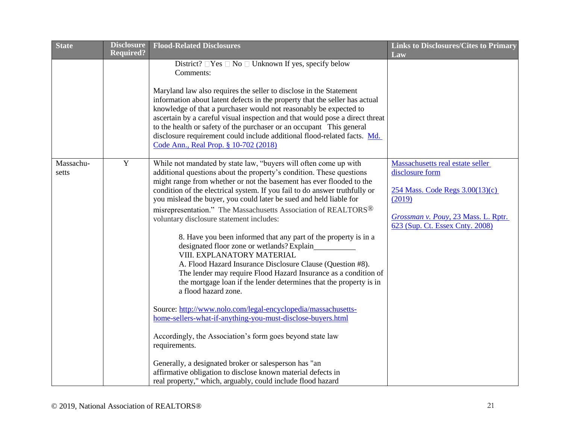| <b>State</b>       | <b>Disclosure</b> | <b>Flood-Related Disclosures</b>                                                                                                                                                                                                                                                                                                                                                                                                                                                                                                                                                                                                                                                                                                                                                                                                                                                                                                                                                                                                                                                                                                                                                                                                                                                   | <b>Links to Disclosures/Cites to Primary</b>                                                                                                                               |
|--------------------|-------------------|------------------------------------------------------------------------------------------------------------------------------------------------------------------------------------------------------------------------------------------------------------------------------------------------------------------------------------------------------------------------------------------------------------------------------------------------------------------------------------------------------------------------------------------------------------------------------------------------------------------------------------------------------------------------------------------------------------------------------------------------------------------------------------------------------------------------------------------------------------------------------------------------------------------------------------------------------------------------------------------------------------------------------------------------------------------------------------------------------------------------------------------------------------------------------------------------------------------------------------------------------------------------------------|----------------------------------------------------------------------------------------------------------------------------------------------------------------------------|
|                    | <b>Required?</b>  |                                                                                                                                                                                                                                                                                                                                                                                                                                                                                                                                                                                                                                                                                                                                                                                                                                                                                                                                                                                                                                                                                                                                                                                                                                                                                    | Law                                                                                                                                                                        |
|                    |                   | District? $\Box$ Yes $\Box$ No $\Box$ Unknown If yes, specify below<br>Comments:                                                                                                                                                                                                                                                                                                                                                                                                                                                                                                                                                                                                                                                                                                                                                                                                                                                                                                                                                                                                                                                                                                                                                                                                   |                                                                                                                                                                            |
|                    |                   | Maryland law also requires the seller to disclose in the Statement<br>information about latent defects in the property that the seller has actual<br>knowledge of that a purchaser would not reasonably be expected to<br>ascertain by a careful visual inspection and that would pose a direct threat<br>to the health or safety of the purchaser or an occupant This general<br>disclosure requirement could include additional flood-related facts. Md.<br>Code Ann., Real Prop. § 10-702 (2018)                                                                                                                                                                                                                                                                                                                                                                                                                                                                                                                                                                                                                                                                                                                                                                                |                                                                                                                                                                            |
| Massachu-<br>setts | $\mathbf Y$       | While not mandated by state law, "buyers will often come up with<br>additional questions about the property's condition. These questions<br>might range from whether or not the basement has ever flooded to the<br>condition of the electrical system. If you fail to do answer truthfully or<br>you mislead the buyer, you could later be sued and held liable for<br>misrepresentation." The Massachusetts Association of REALTORS <sup>®</sup><br>voluntary disclosure statement includes:<br>8. Have you been informed that any part of the property is in a<br>designated floor zone or wetlands? Explain<br>VIII. EXPLANATORY MATERIAL<br>A. Flood Hazard Insurance Disclosure Clause (Question #8).<br>The lender may require Flood Hazard Insurance as a condition of<br>the mortgage loan if the lender determines that the property is in<br>a flood hazard zone.<br>Source: http://www.nolo.com/legal-encyclopedia/massachusetts-<br>home-sellers-what-if-anything-you-must-disclose-buyers.html<br>Accordingly, the Association's form goes beyond state law<br>requirements.<br>Generally, a designated broker or salesperson has "an<br>affirmative obligation to disclose known material defects in<br>real property," which, arguably, could include flood hazard | Massachusetts real estate seller<br>disclosure form<br>254 Mass. Code Regs 3.00(13)(c)<br>(2019)<br>Grossman v. Pouy, 23 Mass. L. Rptr.<br>623 (Sup. Ct. Essex Cnty. 2008) |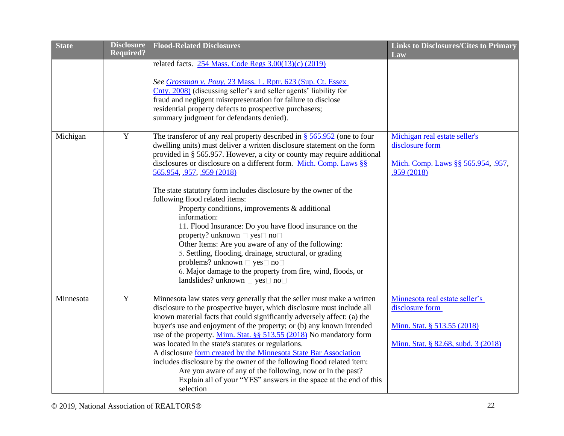| <b>State</b> | <b>Disclosure</b> | <b>Flood-Related Disclosures</b>                                                                                                                  | <b>Links to Disclosures/Cites to Primary</b>      |
|--------------|-------------------|---------------------------------------------------------------------------------------------------------------------------------------------------|---------------------------------------------------|
|              | <b>Required?</b>  |                                                                                                                                                   | Law                                               |
|              |                   | related facts. 254 Mass. Code Regs 3.00(13)(c) (2019)                                                                                             |                                                   |
|              |                   |                                                                                                                                                   |                                                   |
|              |                   | See Grossman v. Pouy, 23 Mass. L. Rptr. 623 (Sup. Ct. Essex<br>Cnty. 2008) (discussing seller's and seller agents' liability for                  |                                                   |
|              |                   | fraud and negligent misrepresentation for failure to disclose                                                                                     |                                                   |
|              |                   | residential property defects to prospective purchasers;                                                                                           |                                                   |
|              |                   | summary judgment for defendants denied).                                                                                                          |                                                   |
|              |                   |                                                                                                                                                   |                                                   |
| Michigan     | $\mathbf Y$       | The transferor of any real property described in $\frac{8}{565.952}$ (one to four                                                                 | Michigan real estate seller's                     |
|              |                   | dwelling units) must deliver a written disclosure statement on the form                                                                           | disclosure form                                   |
|              |                   | provided in § 565.957. However, a city or county may require additional                                                                           |                                                   |
|              |                   | disclosures or disclosure on a different form. Mich. Comp. Laws $\S$                                                                              | Mich. Comp. Laws §§ 565.954, .957,                |
|              |                   | 565.954, .957, .959 (2018)                                                                                                                        | .959(2018)                                        |
|              |                   |                                                                                                                                                   |                                                   |
|              |                   | The state statutory form includes disclosure by the owner of the<br>following flood related items:                                                |                                                   |
|              |                   | Property conditions, improvements & additional                                                                                                    |                                                   |
|              |                   | information:                                                                                                                                      |                                                   |
|              |                   | 11. Flood Insurance: Do you have flood insurance on the                                                                                           |                                                   |
|              |                   | property? unknown $\Box$ yes $\Box$ no $\Box$                                                                                                     |                                                   |
|              |                   | Other Items: Are you aware of any of the following:                                                                                               |                                                   |
|              |                   | 5. Settling, flooding, drainage, structural, or grading                                                                                           |                                                   |
|              |                   | problems? unknown □ yes □ no□                                                                                                                     |                                                   |
|              |                   | 6. Major damage to the property from fire, wind, floods, or                                                                                       |                                                   |
|              |                   | landslides? unknown □ yes□ no□                                                                                                                    |                                                   |
|              | $\mathbf Y$       |                                                                                                                                                   |                                                   |
| Minnesota    |                   | Minnesota law states very generally that the seller must make a written<br>disclosure to the prospective buyer, which disclosure must include all | Minnesota real estate seller's<br>disclosure form |
|              |                   | known material facts that could significantly adversely affect: (a) the                                                                           |                                                   |
|              |                   | buyer's use and enjoyment of the property; or (b) any known intended                                                                              | Minn. Stat. § 513.55 (2018)                       |
|              |                   | use of the property. Minn. Stat. §§ 513.55 (2018) No mandatory form                                                                               |                                                   |
|              |                   | was located in the state's statutes or regulations.                                                                                               | Minn. Stat. § 82.68, subd. 3 (2018)               |
|              |                   | A disclosure form created by the Minnesota State Bar Association                                                                                  |                                                   |
|              |                   | includes disclosure by the owner of the following flood related item:                                                                             |                                                   |
|              |                   | Are you aware of any of the following, now or in the past?                                                                                        |                                                   |
|              |                   | Explain all of your "YES" answers in the space at the end of this                                                                                 |                                                   |
|              |                   | selection                                                                                                                                         |                                                   |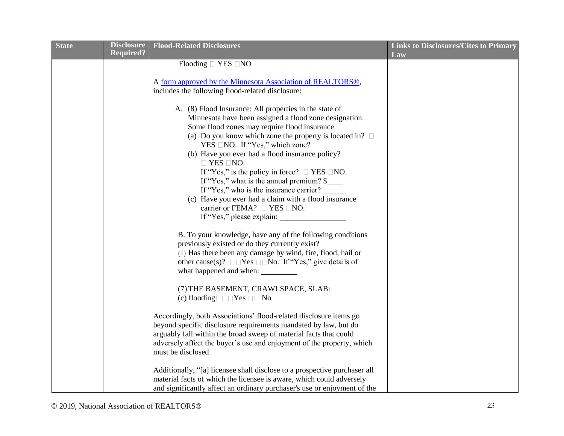| <b>State</b> | <b>Disclosure</b><br><b>Required?</b> | <b>Flood-Related Disclosures</b>                                                                                                                                                                                                                                                                                                                                                                                                                                                                                                                                                             | <b>Links to Disclosures/Cites to Primary</b><br>Law |
|--------------|---------------------------------------|----------------------------------------------------------------------------------------------------------------------------------------------------------------------------------------------------------------------------------------------------------------------------------------------------------------------------------------------------------------------------------------------------------------------------------------------------------------------------------------------------------------------------------------------------------------------------------------------|-----------------------------------------------------|
|              |                                       | Flooding $\Box$ YES $\Box$ NO                                                                                                                                                                                                                                                                                                                                                                                                                                                                                                                                                                |                                                     |
|              |                                       | A form approved by the Minnesota Association of REALTORS®,                                                                                                                                                                                                                                                                                                                                                                                                                                                                                                                                   |                                                     |
|              |                                       | includes the following flood-related disclosure:                                                                                                                                                                                                                                                                                                                                                                                                                                                                                                                                             |                                                     |
|              |                                       | A. (8) Flood Insurance: All properties in the state of<br>Minnesota have been assigned a flood zone designation.<br>Some flood zones may require flood insurance.<br>(a) Do you know which zone the property is located in? $\square$<br>YES □NO. If "Yes," which zone?<br>(b) Have you ever had a flood insurance policy?<br>$\Box$ YES $\Box$ NO.<br>If "Yes," is the policy in force? $\Box$ YES $\Box$ NO.<br>If "Yes," what is the annual premium? \$<br>If "Yes," who is the insurance carrier?<br>(c) Have you ever had a claim with a flood insurance<br>carrier or FEMA? □ YES □NO. |                                                     |
|              |                                       | If "Yes," please explain:                                                                                                                                                                                                                                                                                                                                                                                                                                                                                                                                                                    |                                                     |
|              |                                       | B. To your knowledge, have any of the following conditions<br>previously existed or do they currently exist?<br>(1) Has there been any damage by wind, fire, flood, hail or<br>other cause(s)? $\square \square Y$ es $\square \square$ No. If "Yes," give details of<br>what happened and when:                                                                                                                                                                                                                                                                                             |                                                     |
|              |                                       | (7) THE BASEMENT, CRAWLSPACE, SLAB:<br>(c) flooding: $\square \square Y$ es $\square \square$ No                                                                                                                                                                                                                                                                                                                                                                                                                                                                                             |                                                     |
|              |                                       | Accordingly, both Associations' flood-related disclosure items go<br>beyond specific disclosure requirements mandated by law, but do<br>arguably fall within the broad sweep of material facts that could<br>adversely affect the buyer's use and enjoyment of the property, which<br>must be disclosed.                                                                                                                                                                                                                                                                                     |                                                     |
|              |                                       | Additionally, "[a] licensee shall disclose to a prospective purchaser all<br>material facts of which the licensee is aware, which could adversely<br>and significantly affect an ordinary purchaser's use or enjoyment of the                                                                                                                                                                                                                                                                                                                                                                |                                                     |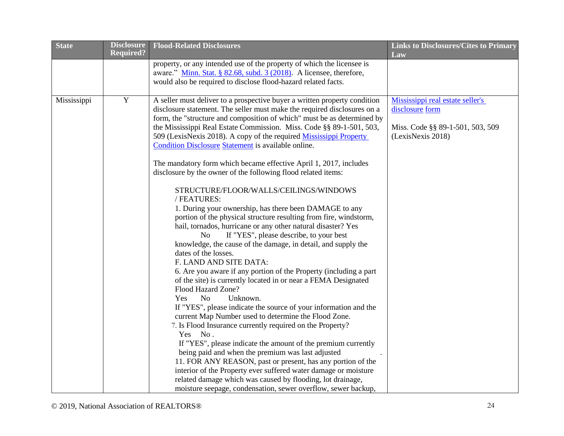| <b>State</b> | <b>Disclosure</b> | <b>Flood-Related Disclosures</b>                                                                                          | <b>Links to Disclosures/Cites to Primary</b> |
|--------------|-------------------|---------------------------------------------------------------------------------------------------------------------------|----------------------------------------------|
|              | <b>Required?</b>  |                                                                                                                           | Law                                          |
|              |                   | property, or any intended use of the property of which the licensee is                                                    |                                              |
|              |                   | aware." Minn. Stat. § 82.68, subd. 3 (2018). A licensee, therefore,                                                       |                                              |
|              |                   | would also be required to disclose flood-hazard related facts.                                                            |                                              |
|              |                   |                                                                                                                           |                                              |
| Mississippi  | $\overline{Y}$    | A seller must deliver to a prospective buyer a written property condition                                                 | Mississippi real estate seller's             |
|              |                   | disclosure statement. The seller must make the required disclosures on a                                                  | disclosure form                              |
|              |                   | form, the "structure and composition of which" must be as determined by                                                   |                                              |
|              |                   | the Mississippi Real Estate Commission. Miss. Code §§ 89-1-501, 503,                                                      | Miss. Code §§ 89-1-501, 503, 509             |
|              |                   | 509 (LexisNexis 2018). A copy of the required Mississippi Property<br>Condition Disclosure Statement is available online. | (LexisNexis 2018)                            |
|              |                   |                                                                                                                           |                                              |
|              |                   | The mandatory form which became effective April 1, 2017, includes                                                         |                                              |
|              |                   | disclosure by the owner of the following flood related items:                                                             |                                              |
|              |                   |                                                                                                                           |                                              |
|              |                   | STRUCTURE/FLOOR/WALLS/CEILINGS/WINDOWS                                                                                    |                                              |
|              |                   | / FEATURES:                                                                                                               |                                              |
|              |                   | 1. During your ownership, has there been DAMAGE to any                                                                    |                                              |
|              |                   | portion of the physical structure resulting from fire, windstorm,                                                         |                                              |
|              |                   | hail, tornados, hurricane or any other natural disaster? Yes                                                              |                                              |
|              |                   | If "YES", please describe, to your best<br>N <sub>o</sub>                                                                 |                                              |
|              |                   | knowledge, the cause of the damage, in detail, and supply the                                                             |                                              |
|              |                   | dates of the losses.                                                                                                      |                                              |
|              |                   | F. LAND AND SITE DATA:                                                                                                    |                                              |
|              |                   | 6. Are you aware if any portion of the Property (including a part                                                         |                                              |
|              |                   | of the site) is currently located in or near a FEMA Designated<br>Flood Hazard Zone?                                      |                                              |
|              |                   | N <sub>o</sub><br>Unknown.<br>Yes                                                                                         |                                              |
|              |                   | If "YES", please indicate the source of your information and the                                                          |                                              |
|              |                   | current Map Number used to determine the Flood Zone.                                                                      |                                              |
|              |                   | 7. Is Flood Insurance currently required on the Property?                                                                 |                                              |
|              |                   | Yes No.                                                                                                                   |                                              |
|              |                   | If "YES", please indicate the amount of the premium currently                                                             |                                              |
|              |                   | being paid and when the premium was last adjusted                                                                         |                                              |
|              |                   | 11. FOR ANY REASON, past or present, has any portion of the                                                               |                                              |
|              |                   | interior of the Property ever suffered water damage or moisture                                                           |                                              |
|              |                   | related damage which was caused by flooding, lot drainage,                                                                |                                              |
|              |                   | moisture seepage, condensation, sewer overflow, sewer backup,                                                             |                                              |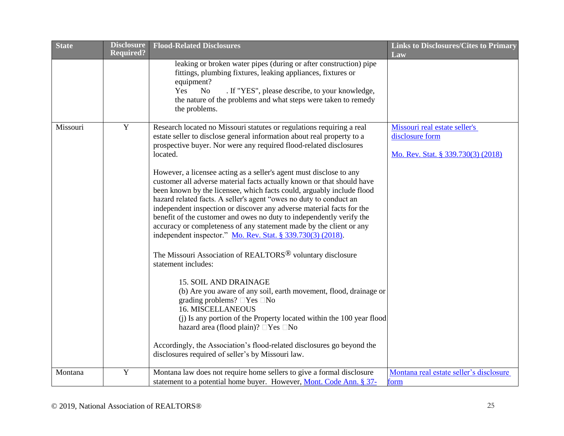| <b>State</b> | <b>Disclosure</b> | <b>Flood-Related Disclosures</b>                                                                                                                                                                                                                                                                                                                                                                                                                                                                                                                                                                                                                                                                                                                                                                                                                                                                                                                                                                                                                                                                                                                                                                                                                                                                                                                   | <b>Links to Disclosures/Cites to Primary</b>                                           |
|--------------|-------------------|----------------------------------------------------------------------------------------------------------------------------------------------------------------------------------------------------------------------------------------------------------------------------------------------------------------------------------------------------------------------------------------------------------------------------------------------------------------------------------------------------------------------------------------------------------------------------------------------------------------------------------------------------------------------------------------------------------------------------------------------------------------------------------------------------------------------------------------------------------------------------------------------------------------------------------------------------------------------------------------------------------------------------------------------------------------------------------------------------------------------------------------------------------------------------------------------------------------------------------------------------------------------------------------------------------------------------------------------------|----------------------------------------------------------------------------------------|
|              | <b>Required?</b>  | leaking or broken water pipes (during or after construction) pipe<br>fittings, plumbing fixtures, leaking appliances, fixtures or<br>equipment?<br><b>No</b><br>. If "YES", please describe, to your knowledge,<br>Yes<br>the nature of the problems and what steps were taken to remedy<br>the problems.                                                                                                                                                                                                                                                                                                                                                                                                                                                                                                                                                                                                                                                                                                                                                                                                                                                                                                                                                                                                                                          | Law                                                                                    |
| Missouri     | $\mathbf Y$       | Research located no Missouri statutes or regulations requiring a real<br>estate seller to disclose general information about real property to a<br>prospective buyer. Nor were any required flood-related disclosures<br>located.<br>However, a licensee acting as a seller's agent must disclose to any<br>customer all adverse material facts actually known or that should have<br>been known by the licensee, which facts could, arguably include flood<br>hazard related facts. A seller's agent "owes no duty to conduct an<br>independent inspection or discover any adverse material facts for the<br>benefit of the customer and owes no duty to independently verify the<br>accuracy or completeness of any statement made by the client or any<br>independent inspector." Mo. Rev. Stat. § 339.730(3) (2018).<br>The Missouri Association of REALTORS <sup>®</sup> voluntary disclosure<br>statement includes:<br><b>15. SOIL AND DRAINAGE</b><br>(b) Are you aware of any soil, earth movement, flood, drainage or<br>grading problems? $\Box$ Yes $\Box$ No<br><b>16. MISCELLANEOUS</b><br>(j) Is any portion of the Property located within the 100 year flood<br>hazard area (flood plain)? □Yes □No<br>Accordingly, the Association's flood-related disclosures go beyond the<br>disclosures required of seller's by Missouri law. | Missouri real estate seller's<br>disclosure form<br>Mo. Rev. Stat. § 339.730(3) (2018) |
| Montana      | $\overline{Y}$    | Montana law does not require home sellers to give a formal disclosure<br>statement to a potential home buyer. However, Mont. Code Ann. § 37-                                                                                                                                                                                                                                                                                                                                                                                                                                                                                                                                                                                                                                                                                                                                                                                                                                                                                                                                                                                                                                                                                                                                                                                                       | Montana real estate seller's disclosure<br>form                                        |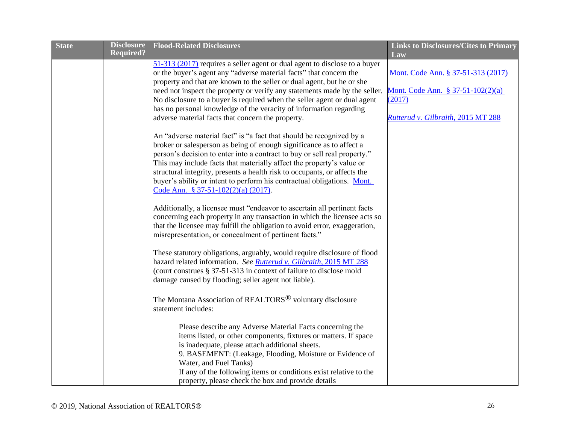| <b>State</b> | <b>Disclosure</b><br><b>Required?</b> | <b>Flood-Related Disclosures</b>                                                                                                                                                                                                                                                                                                                                                                                                                                                                                | <b>Links to Disclosures/Cites to Primary</b><br>Law                                                                     |
|--------------|---------------------------------------|-----------------------------------------------------------------------------------------------------------------------------------------------------------------------------------------------------------------------------------------------------------------------------------------------------------------------------------------------------------------------------------------------------------------------------------------------------------------------------------------------------------------|-------------------------------------------------------------------------------------------------------------------------|
|              |                                       | 51-313 (2017) requires a seller agent or dual agent to disclose to a buyer<br>or the buyer's agent any "adverse material facts" that concern the<br>property and that are known to the seller or dual agent, but he or she<br>need not inspect the property or verify any statements made by the seller.<br>No disclosure to a buyer is required when the seller agent or dual agent<br>has no personal knowledge of the veracity of information regarding<br>adverse material facts that concern the property. | Mont. Code Ann. § 37-51-313 (2017)<br>Mont. Code Ann. § 37-51-102(2)(a)<br>(2017)<br>Rutterud v. Gilbraith, 2015 MT 288 |
|              |                                       | An "adverse material fact" is "a fact that should be recognized by a<br>broker or salesperson as being of enough significance as to affect a<br>person's decision to enter into a contract to buy or sell real property."<br>This may include facts that materially affect the property's value or<br>structural integrity, presents a health risk to occupants, or affects the<br>buyer's ability or intent to perform his contractual obligations. Mont.<br>Code Ann. § 37-51-102(2)(a) (2017).               |                                                                                                                         |
|              |                                       | Additionally, a licensee must "endeavor to ascertain all pertinent facts<br>concerning each property in any transaction in which the licensee acts so<br>that the licensee may fulfill the obligation to avoid error, exaggeration,<br>misrepresentation, or concealment of pertinent facts."                                                                                                                                                                                                                   |                                                                                                                         |
|              |                                       | These statutory obligations, arguably, would require disclosure of flood<br>hazard related information. See Rutterud v. Gilbraith, 2015 MT 288<br>(court construes § 37-51-313 in context of failure to disclose mold<br>damage caused by flooding; seller agent not liable).                                                                                                                                                                                                                                   |                                                                                                                         |
|              |                                       | The Montana Association of REALTORS <sup>®</sup> voluntary disclosure<br>statement includes:                                                                                                                                                                                                                                                                                                                                                                                                                    |                                                                                                                         |
|              |                                       | Please describe any Adverse Material Facts concerning the<br>items listed, or other components, fixtures or matters. If space<br>is inadequate, please attach additional sheets.<br>9. BASEMENT: (Leakage, Flooding, Moisture or Evidence of<br>Water, and Fuel Tanks)<br>If any of the following items or conditions exist relative to the<br>property, please check the box and provide details                                                                                                               |                                                                                                                         |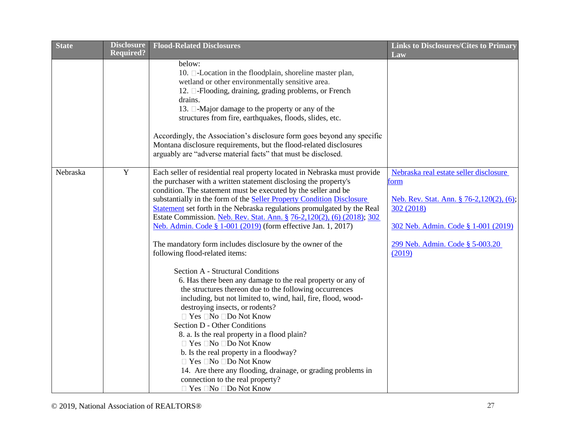| <b>State</b> | <b>Disclosure</b> | <b>Flood-Related Disclosures</b>                                          | <b>Links to Disclosures/Cites to Primary</b> |
|--------------|-------------------|---------------------------------------------------------------------------|----------------------------------------------|
|              | <b>Required?</b>  |                                                                           | Law                                          |
|              |                   | below:                                                                    |                                              |
|              |                   | 10. <b>D</b> -Location in the floodplain, shoreline master plan,          |                                              |
|              |                   | wetland or other environmentally sensitive area.                          |                                              |
|              |                   | 12. <sup>[12]</sup> -Flooding, draining, grading problems, or French      |                                              |
|              |                   | drains.                                                                   |                                              |
|              |                   | 13. □-Major damage to the property or any of the                          |                                              |
|              |                   | structures from fire, earthquakes, floods, slides, etc.                   |                                              |
|              |                   | Accordingly, the Association's disclosure form goes beyond any specific   |                                              |
|              |                   | Montana disclosure requirements, but the flood-related disclosures        |                                              |
|              |                   | arguably are "adverse material facts" that must be disclosed.             |                                              |
|              |                   |                                                                           |                                              |
| Nebraska     | Y                 | Each seller of residential real property located in Nebraska must provide | Nebraska real estate seller disclosure       |
|              |                   | the purchaser with a written statement disclosing the property's          | torm                                         |
|              |                   | condition. The statement must be executed by the seller and be            |                                              |
|              |                   | substantially in the form of the Seller Property Condition Disclosure     | Neb. Rev. Stat. Ann. § 76-2,120(2), (6);     |
|              |                   | Statement set forth in the Nebraska regulations promulgated by the Real   | 302 (2018)                                   |
|              |                   | Estate Commission. Neb. Rev. Stat. Ann. § 76-2,120(2), (6) (2018); 302    |                                              |
|              |                   | Neb. Admin. Code § 1-001 (2019) (form effective Jan. 1, 2017)             | 302 Neb. Admin. Code § 1-001 (2019)          |
|              |                   | The mandatory form includes disclosure by the owner of the                | 299 Neb. Admin. Code § 5-003.20              |
|              |                   | following flood-related items:                                            | (2019)                                       |
|              |                   | Section A - Structural Conditions                                         |                                              |
|              |                   | 6. Has there been any damage to the real property or any of               |                                              |
|              |                   | the structures thereon due to the following occurrences                   |                                              |
|              |                   | including, but not limited to, wind, hail, fire, flood, wood-             |                                              |
|              |                   | destroying insects, or rodents?                                           |                                              |
|              |                   | □ Yes □No □Do Not Know                                                    |                                              |
|              |                   | Section D - Other Conditions                                              |                                              |
|              |                   | 8. a. Is the real property in a flood plain?                              |                                              |
|              |                   | □ Yes □No □Do Not Know                                                    |                                              |
|              |                   | b. Is the real property in a floodway?                                    |                                              |
|              |                   | □ Yes □No □Do Not Know                                                    |                                              |
|              |                   | 14. Are there any flooding, drainage, or grading problems in              |                                              |
|              |                   | connection to the real property?                                          |                                              |
|              |                   | □ Yes □No □Do Not Know                                                    |                                              |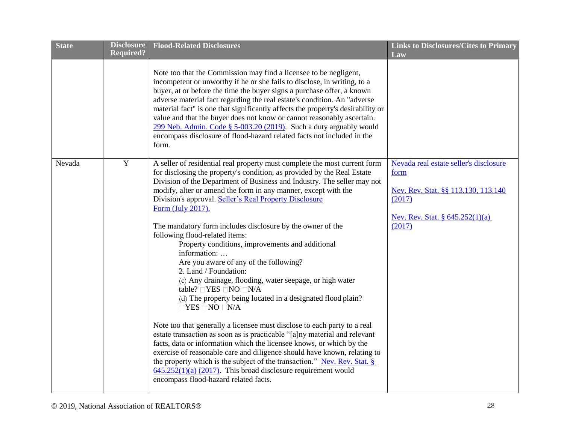| <b>State</b> | <b>Disclosure</b><br><b>Required?</b> | <b>Flood-Related Disclosures</b>                                                                                                                                                                                                                                                                                                                                                                                                                                                                                                                                                                                                                                                                                                                                                                                                                                                                                                                                                                                                                                                                                                                                                                                                                                                                                   | <b>Links to Disclosures/Cites to Primary</b><br>Law                                                                                          |
|--------------|---------------------------------------|--------------------------------------------------------------------------------------------------------------------------------------------------------------------------------------------------------------------------------------------------------------------------------------------------------------------------------------------------------------------------------------------------------------------------------------------------------------------------------------------------------------------------------------------------------------------------------------------------------------------------------------------------------------------------------------------------------------------------------------------------------------------------------------------------------------------------------------------------------------------------------------------------------------------------------------------------------------------------------------------------------------------------------------------------------------------------------------------------------------------------------------------------------------------------------------------------------------------------------------------------------------------------------------------------------------------|----------------------------------------------------------------------------------------------------------------------------------------------|
|              |                                       | Note too that the Commission may find a licensee to be negligent,<br>incompetent or unworthy if he or she fails to disclose, in writing, to a<br>buyer, at or before the time the buyer signs a purchase offer, a known<br>adverse material fact regarding the real estate's condition. An "adverse<br>material fact" is one that significantly affects the property's desirability or<br>value and that the buyer does not know or cannot reasonably ascertain.<br>299 Neb. Admin. Code § 5-003.20 (2019). Such a duty arguably would<br>encompass disclosure of flood-hazard related facts not included in the<br>form.                                                                                                                                                                                                                                                                                                                                                                                                                                                                                                                                                                                                                                                                                          |                                                                                                                                              |
| Nevada       | $\mathbf Y$                           | A seller of residential real property must complete the most current form<br>for disclosing the property's condition, as provided by the Real Estate<br>Division of the Department of Business and Industry. The seller may not<br>modify, alter or amend the form in any manner, except with the<br>Division's approval. Seller's Real Property Disclosure<br>Form (July 2017).<br>The mandatory form includes disclosure by the owner of the<br>following flood-related items:<br>Property conditions, improvements and additional<br>information:<br>Are you aware of any of the following?<br>2. Land / Foundation:<br>(c) Any drainage, flooding, water seepage, or high water<br>table? □YES □NO □N/A<br>(d) The property being located in a designated flood plain?<br>$\Box$ YES $\Box$ NO $\Box$ N/A<br>Note too that generally a licensee must disclose to each party to a real<br>estate transaction as soon as is practicable "[a]ny material and relevant<br>facts, data or information which the licensee knows, or which by the<br>exercise of reasonable care and diligence should have known, relating to<br>the property which is the subject of the transaction." Nev. Rev. Stat. §<br>$645.252(1)(a)$ (2017). This broad disclosure requirement would<br>encompass flood-hazard related facts. | Nevada real estate seller's disclosure<br>form<br>Nev. Rev. Stat. §§ 113.130, 113.140<br>(2017)<br>Nev. Rev. Stat. § 645.252(1)(a)<br>(2017) |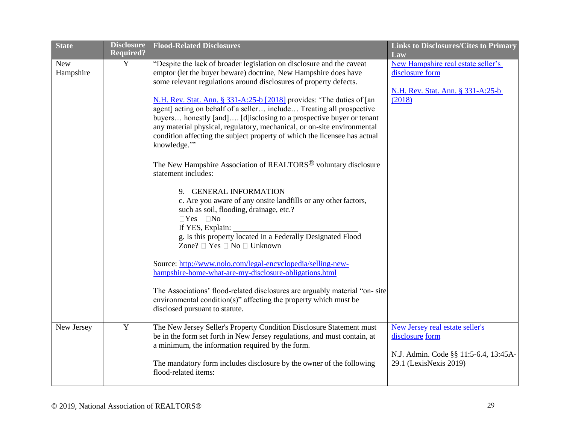| <b>State</b>            | <b>Disclosure</b><br><b>Required?</b> | <b>Flood-Related Disclosures</b>                                                                                                                                                                                                                                                                                                                                                                                                                                                                                                                                                                                                                                                                                                                                                                                                                                                                                                                                                                                                                                                                                                                                                                                                                                                                                  | <b>Links to Disclosures/Cites to Primary</b><br>Law                                                                   |
|-------------------------|---------------------------------------|-------------------------------------------------------------------------------------------------------------------------------------------------------------------------------------------------------------------------------------------------------------------------------------------------------------------------------------------------------------------------------------------------------------------------------------------------------------------------------------------------------------------------------------------------------------------------------------------------------------------------------------------------------------------------------------------------------------------------------------------------------------------------------------------------------------------------------------------------------------------------------------------------------------------------------------------------------------------------------------------------------------------------------------------------------------------------------------------------------------------------------------------------------------------------------------------------------------------------------------------------------------------------------------------------------------------|-----------------------------------------------------------------------------------------------------------------------|
| <b>New</b><br>Hampshire | Y                                     | "Despite the lack of broader legislation on disclosure and the caveat<br>emptor (let the buyer beware) doctrine, New Hampshire does have<br>some relevant regulations around disclosures of property defects.<br>N.H. Rev. Stat. Ann. § 331-A:25-b [2018] provides: 'The duties of [an<br>agent] acting on behalf of a seller include Treating all prospective<br>buyers honestly [and] [d] isclosing to a prospective buyer or tenant<br>any material physical, regulatory, mechanical, or on-site environmental<br>condition affecting the subject property of which the licensee has actual<br>knowledge."<br>The New Hampshire Association of REALTORS <sup>®</sup> voluntary disclosure<br>statement includes:<br>9. GENERAL INFORMATION<br>c. Are you aware of any onsite landfills or any other factors,<br>such as soil, flooding, drainage, etc.?<br>$\Box$ Yes $\Box$ No<br>If YES, Explain:<br>g. Is this property located in a Federally Designated Flood<br>Zone? □ Yes □ No □ Unknown<br>Source: http://www.nolo.com/legal-encyclopedia/selling-new-<br>hampshire-home-what-are-my-disclosure-obligations.html<br>The Associations' flood-related disclosures are arguably material "on-site"<br>environmental condition(s)" affecting the property which must be<br>disclosed pursuant to statute. | New Hampshire real estate seller's<br>disclosure form<br>N.H. Rev. Stat. Ann. § 331-A:25-b<br>(2018)                  |
| New Jersey              | $\mathbf Y$                           | The New Jersey Seller's Property Condition Disclosure Statement must<br>be in the form set forth in New Jersey regulations, and must contain, at<br>a minimum, the information required by the form.<br>The mandatory form includes disclosure by the owner of the following<br>flood-related items:                                                                                                                                                                                                                                                                                                                                                                                                                                                                                                                                                                                                                                                                                                                                                                                                                                                                                                                                                                                                              | New Jersey real estate seller's<br>disclosure form<br>N.J. Admin. Code §§ 11:5-6.4, 13:45A-<br>29.1 (LexisNexis 2019) |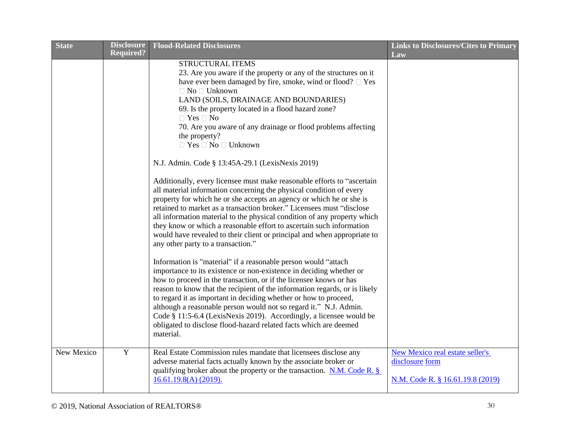| <b>State</b> | <b>Disclosure</b><br><b>Required?</b> | <b>Flood-Related Disclosures</b>                                                                                                                                                                                                                                                                                                                                                                                                                                                                                                                                                                                          | <b>Links to Disclosures/Cites to Primary</b><br>Law                                           |
|--------------|---------------------------------------|---------------------------------------------------------------------------------------------------------------------------------------------------------------------------------------------------------------------------------------------------------------------------------------------------------------------------------------------------------------------------------------------------------------------------------------------------------------------------------------------------------------------------------------------------------------------------------------------------------------------------|-----------------------------------------------------------------------------------------------|
|              |                                       | <b>STRUCTURAL ITEMS</b><br>23. Are you aware if the property or any of the structures on it<br>have ever been damaged by fire, smoke, wind or flood? $\square$ Yes<br>$\Box$ No $\Box$ Unknown<br>LAND (SOILS, DRAINAGE AND BOUNDARIES)<br>69. Is the property located in a flood hazard zone?<br>$\Box$ Yes $\Box$ No<br>70. Are you aware of any drainage or flood problems affecting<br>the property?<br>$\Box$ Yes $\Box$ No $\Box$ Unknown                                                                                                                                                                           |                                                                                               |
|              |                                       | N.J. Admin. Code § 13:45A-29.1 (LexisNexis 2019)<br>Additionally, every licensee must make reasonable efforts to "ascertain<br>all material information concerning the physical condition of every<br>property for which he or she accepts an agency or which he or she is<br>retained to market as a transaction broker." Licensees must "disclose<br>all information material to the physical condition of any property which<br>they know or which a reasonable effort to ascertain such information<br>would have revealed to their client or principal and when appropriate to<br>any other party to a transaction." |                                                                                               |
|              |                                       | Information is "material" if a reasonable person would "attach<br>importance to its existence or non-existence in deciding whether or<br>how to proceed in the transaction, or if the licensee knows or has<br>reason to know that the recipient of the information regards, or is likely<br>to regard it as important in deciding whether or how to proceed,<br>although a reasonable person would not so regard it." N.J. Admin.<br>Code § 11:5-6.4 (LexisNexis 2019). Accordingly, a licensee would be<br>obligated to disclose flood-hazard related facts which are deemed<br>material.                               |                                                                                               |
| New Mexico   | $\mathbf Y$                           | Real Estate Commission rules mandate that licensees disclose any<br>adverse material facts actually known by the associate broker or<br>qualifying broker about the property or the transaction. N.M. Code R. $\S$<br>$16.61.19.8(A)$ (2019).                                                                                                                                                                                                                                                                                                                                                                             | <b>New Mexico real estate seller's</b><br>disclosure form<br>N.M. Code R. § 16.61.19.8 (2019) |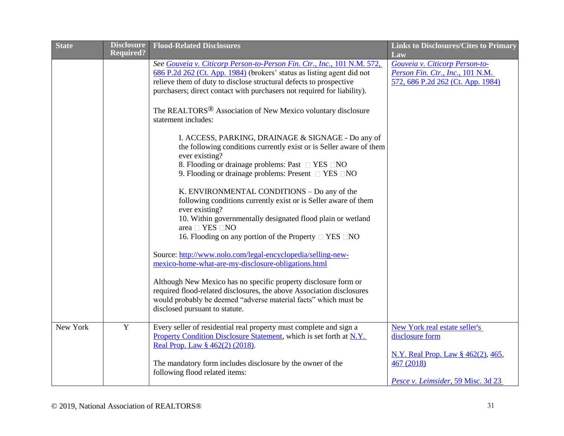| <b>State</b> | <b>Disclosure</b> | <b>Flood-Related Disclosures</b>                                                                                                                                                                                                                                                                                                                                                                                                                                                                                                                                                                                                                                                                                                                                                                                                                                                                                                                                                                                                                                                                                                                                                                                                                                                                                                                                 | <b>Links to Disclosures/Cites to Primary</b>                                                                                               |
|--------------|-------------------|------------------------------------------------------------------------------------------------------------------------------------------------------------------------------------------------------------------------------------------------------------------------------------------------------------------------------------------------------------------------------------------------------------------------------------------------------------------------------------------------------------------------------------------------------------------------------------------------------------------------------------------------------------------------------------------------------------------------------------------------------------------------------------------------------------------------------------------------------------------------------------------------------------------------------------------------------------------------------------------------------------------------------------------------------------------------------------------------------------------------------------------------------------------------------------------------------------------------------------------------------------------------------------------------------------------------------------------------------------------|--------------------------------------------------------------------------------------------------------------------------------------------|
|              | <b>Required?</b>  | See Gouveia v. Citicorp Person-to-Person Fin. Ctr., Inc., 101 N.M. 572,<br>686 P.2d 262 (Ct. App. 1984) (brokers' status as listing agent did not<br>relieve them of duty to disclose structural defects to prospective<br>purchasers; direct contact with purchasers not required for liability).<br>The REALTORS <sup>®</sup> Association of New Mexico voluntary disclosure<br>statement includes:<br>I. ACCESS, PARKING, DRAINAGE & SIGNAGE - Do any of<br>the following conditions currently exist or is Seller aware of them<br>ever existing?<br>8. Flooding or drainage problems: Past $\Box$ YES $\Box$ NO<br>9. Flooding or drainage problems: Present $\Box$ YES $\Box$ NO<br>K. ENVIRONMENTAL CONDITIONS - Do any of the<br>following conditions currently exist or is Seller aware of them<br>ever existing?<br>10. Within governmentally designated flood plain or wetland<br>area $\Box$ YES $\Box$ NO<br>16. Flooding on any portion of the Property $\Box$ YES $\Box$ NO<br>Source: http://www.nolo.com/legal-encyclopedia/selling-new-<br>mexico-home-what-are-my-disclosure-obligations.html<br>Although New Mexico has no specific property disclosure form or<br>required flood-related disclosures, the above Association disclosures<br>would probably be deemed "adverse material facts" which must be<br>disclosed pursuant to statute. | Law<br>Gouveia v. Citicorp Person-to-<br>Person Fin. Ctr., Inc., 101 N.M.<br>572, 686 P.2d 262 (Ct. App. 1984)                             |
| New York     | $\mathbf Y$       | Every seller of residential real property must complete and sign a<br>Property Condition Disclosure Statement, which is set forth at N.Y.<br>Real Prop. Law § 462(2) (2018).<br>The mandatory form includes disclosure by the owner of the<br>following flood related items:                                                                                                                                                                                                                                                                                                                                                                                                                                                                                                                                                                                                                                                                                                                                                                                                                                                                                                                                                                                                                                                                                     | New York real estate seller's<br>disclosure form<br>N.Y. Real Prop. Law § 462(2), 465,<br>467 (2018)<br>Pesce v. Leimsider, 59 Misc. 3d 23 |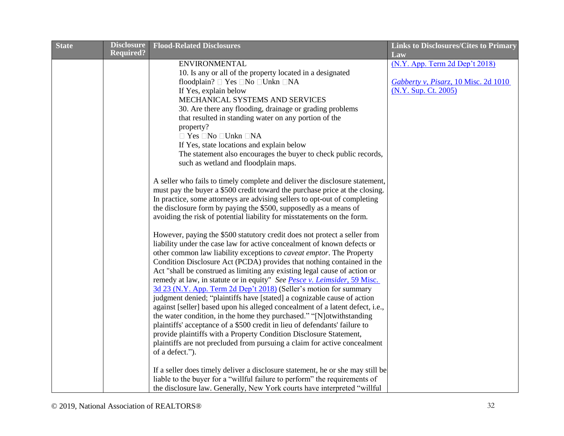| <b>State</b> | <b>Disclosure</b> | <b>Flood-Related Disclosures</b>                                                                                                                     | <b>Links to Disclosures/Cites to Primary</b>                 |
|--------------|-------------------|------------------------------------------------------------------------------------------------------------------------------------------------------|--------------------------------------------------------------|
|              | <b>Required?</b>  |                                                                                                                                                      | Law                                                          |
|              |                   | <b>ENVIRONMENTAL</b>                                                                                                                                 | (N.Y. App. Term 2d Dep't 2018)                               |
|              |                   | 10. Is any or all of the property located in a designated                                                                                            |                                                              |
|              |                   | floodplain? □ Yes □No □Unkn □NA<br>If Yes, explain below                                                                                             | Gabberty v, Pisarz, 10 Misc. 2d 1010<br>(N.Y. Sup. Ct. 2005) |
|              |                   | MECHANICAL SYSTEMS AND SERVICES                                                                                                                      |                                                              |
|              |                   | 30. Are there any flooding, drainage or grading problems                                                                                             |                                                              |
|              |                   | that resulted in standing water on any portion of the                                                                                                |                                                              |
|              |                   | property?                                                                                                                                            |                                                              |
|              |                   | $\Box$ Yes $\Box$ No $\Box$ Unkn $\Box$ NA                                                                                                           |                                                              |
|              |                   | If Yes, state locations and explain below                                                                                                            |                                                              |
|              |                   | The statement also encourages the buyer to check public records,                                                                                     |                                                              |
|              |                   | such as wetland and floodplain maps.                                                                                                                 |                                                              |
|              |                   | A seller who fails to timely complete and deliver the disclosure statement,                                                                          |                                                              |
|              |                   | must pay the buyer a \$500 credit toward the purchase price at the closing.                                                                          |                                                              |
|              |                   | In practice, some attorneys are advising sellers to opt-out of completing                                                                            |                                                              |
|              |                   | the disclosure form by paying the \$500, supposedly as a means of                                                                                    |                                                              |
|              |                   | avoiding the risk of potential liability for misstatements on the form.                                                                              |                                                              |
|              |                   |                                                                                                                                                      |                                                              |
|              |                   | However, paying the \$500 statutory credit does not protect a seller from<br>liability under the case law for active concealment of known defects or |                                                              |
|              |                   | other common law liability exceptions to <i>caveat emptor</i> . The Property                                                                         |                                                              |
|              |                   | Condition Disclosure Act (PCDA) provides that nothing contained in the                                                                               |                                                              |
|              |                   | Act "shall be construed as limiting any existing legal cause of action or                                                                            |                                                              |
|              |                   | remedy at law, in statute or in equity" See Pesce v. Leimsider, 59 Misc.                                                                             |                                                              |
|              |                   | 3d 23 (N.Y. App. Term 2d Dep't 2018) (Seller's motion for summary                                                                                    |                                                              |
|              |                   | judgment denied; "plaintiffs have [stated] a cognizable cause of action                                                                              |                                                              |
|              |                   | against [seller] based upon his alleged concealment of a latent defect, i.e.,                                                                        |                                                              |
|              |                   | the water condition, in the home they purchased." "[N]otwithstanding                                                                                 |                                                              |
|              |                   | plaintiffs' acceptance of a \$500 credit in lieu of defendants' failure to                                                                           |                                                              |
|              |                   | provide plaintiffs with a Property Condition Disclosure Statement,                                                                                   |                                                              |
|              |                   | plaintiffs are not precluded from pursuing a claim for active concealment<br>of a defect.").                                                         |                                                              |
|              |                   |                                                                                                                                                      |                                                              |
|              |                   | If a seller does timely deliver a disclosure statement, he or she may still be                                                                       |                                                              |
|              |                   | liable to the buyer for a "willful failure to perform" the requirements of                                                                           |                                                              |
|              |                   | the disclosure law. Generally, New York courts have interpreted "willful                                                                             |                                                              |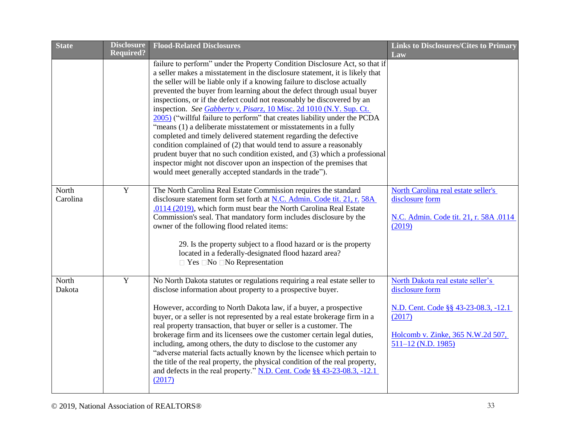| <b>State</b> | <b>Disclosure</b> | <b>Flood-Related Disclosures</b>                                                                                                                            | <b>Links to Disclosures/Cites to Primary</b>              |
|--------------|-------------------|-------------------------------------------------------------------------------------------------------------------------------------------------------------|-----------------------------------------------------------|
|              | <b>Required?</b>  |                                                                                                                                                             | Law                                                       |
|              |                   | failure to perform" under the Property Condition Disclosure Act, so that if<br>a seller makes a misstatement in the disclosure statement, it is likely that |                                                           |
|              |                   | the seller will be liable only if a knowing failure to disclose actually                                                                                    |                                                           |
|              |                   | prevented the buyer from learning about the defect through usual buyer                                                                                      |                                                           |
|              |                   | inspections, or if the defect could not reasonably be discovered by an                                                                                      |                                                           |
|              |                   | inspection. See Gabberty v, Pisarz, 10 Misc. 2d 1010 (N.Y. Sup. Ct.                                                                                         |                                                           |
|              |                   | 2005) ("willful failure to perform" that creates liability under the PCDA<br>"means (1) a deliberate misstatement or misstatements in a fully               |                                                           |
|              |                   | completed and timely delivered statement regarding the defective                                                                                            |                                                           |
|              |                   | condition complained of (2) that would tend to assure a reasonably                                                                                          |                                                           |
|              |                   | prudent buyer that no such condition existed, and (3) which a professional                                                                                  |                                                           |
|              |                   | inspector might not discover upon an inspection of the premises that<br>would meet generally accepted standards in the trade").                             |                                                           |
|              |                   |                                                                                                                                                             |                                                           |
| North        | Y                 | The North Carolina Real Estate Commission requires the standard                                                                                             | North Carolina real estate seller's                       |
| Carolina     |                   | disclosure statement form set forth at N.C. Admin. Code tit. 21, r. 58A                                                                                     | disclosure form                                           |
|              |                   | .0114 (2019), which form must bear the North Carolina Real Estate<br>Commission's seal. That mandatory form includes disclosure by the                      | N.C. Admin. Code tit. 21, r. 58A .0114                    |
|              |                   | owner of the following flood related items:                                                                                                                 | (2019)                                                    |
|              |                   |                                                                                                                                                             |                                                           |
|              |                   | 29. Is the property subject to a flood hazard or is the property                                                                                            |                                                           |
|              |                   | located in a federally-designated flood hazard area?<br>$\Box$ Yes $\Box$ No $\Box$ No Representation                                                       |                                                           |
|              |                   |                                                                                                                                                             |                                                           |
| North        | $\mathbf Y$       | No North Dakota statutes or regulations requiring a real estate seller to                                                                                   | North Dakota real estate seller's                         |
| Dakota       |                   | disclose information about property to a prospective buyer.                                                                                                 | disclosure form                                           |
|              |                   | However, according to North Dakota law, if a buyer, a prospective                                                                                           | N.D. Cent. Code §§ 43-23-08.3, -12.1                      |
|              |                   | buyer, or a seller is not represented by a real estate brokerage firm in a                                                                                  | (2017)                                                    |
|              |                   | real property transaction, that buyer or seller is a customer. The                                                                                          |                                                           |
|              |                   | brokerage firm and its licensees owe the customer certain legal duties,<br>including, among others, the duty to disclose to the customer any                | Holcomb v. Zinke, 365 N.W.2d 507,<br>$511-12$ (N.D. 1985) |
|              |                   | "adverse material facts actually known by the licensee which pertain to                                                                                     |                                                           |
|              |                   | the title of the real property, the physical condition of the real property,                                                                                |                                                           |
|              |                   | and defects in the real property." N.D. Cent. Code §§ 43-23-08.3, -12.1                                                                                     |                                                           |
|              |                   | (2017)                                                                                                                                                      |                                                           |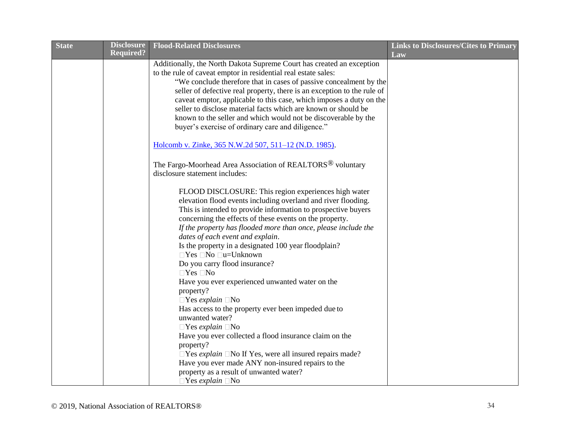| <b>State</b> | <b>Disclosure</b><br><b>Required?</b> | <b>Flood-Related Disclosures</b>                                                                         | <b>Links to Disclosures/Cites to Primary</b> |
|--------------|---------------------------------------|----------------------------------------------------------------------------------------------------------|----------------------------------------------|
|              |                                       | Additionally, the North Dakota Supreme Court has created an exception                                    | Law                                          |
|              |                                       | to the rule of caveat emptor in residential real estate sales:                                           |                                              |
|              |                                       | "We conclude therefore that in cases of passive concealment by the                                       |                                              |
|              |                                       | seller of defective real property, there is an exception to the rule of                                  |                                              |
|              |                                       | caveat emptor, applicable to this case, which imposes a duty on the                                      |                                              |
|              |                                       | seller to disclose material facts which are known or should be                                           |                                              |
|              |                                       | known to the seller and which would not be discoverable by the                                           |                                              |
|              |                                       | buyer's exercise of ordinary care and diligence."                                                        |                                              |
|              |                                       | Holcomb v. Zinke, 365 N.W.2d 507, 511-12 (N.D. 1985).                                                    |                                              |
|              |                                       | The Fargo-Moorhead Area Association of REALTORS <sup>®</sup> voluntary<br>disclosure statement includes: |                                              |
|              |                                       |                                                                                                          |                                              |
|              |                                       | FLOOD DISCLOSURE: This region experiences high water                                                     |                                              |
|              |                                       | elevation flood events including overland and river flooding.                                            |                                              |
|              |                                       | This is intended to provide information to prospective buyers                                            |                                              |
|              |                                       | concerning the effects of these events on the property.                                                  |                                              |
|              |                                       | If the property has flooded more than once, please include the                                           |                                              |
|              |                                       | dates of each event and explain.                                                                         |                                              |
|              |                                       | Is the property in a designated 100 year floodplain?                                                     |                                              |
|              |                                       | $\Box$ Yes $\Box$ No $\Box$ u=Unknown                                                                    |                                              |
|              |                                       | Do you carry flood insurance?<br>$\Box$ Yes $\Box$ No                                                    |                                              |
|              |                                       | Have you ever experienced unwanted water on the                                                          |                                              |
|              |                                       | property?                                                                                                |                                              |
|              |                                       | $\Box$ Yes explain $\Box$ No                                                                             |                                              |
|              |                                       | Has access to the property ever been impeded due to                                                      |                                              |
|              |                                       | unwanted water?                                                                                          |                                              |
|              |                                       | $\Box$ Yes explain $\Box$ No                                                                             |                                              |
|              |                                       | Have you ever collected a flood insurance claim on the                                                   |                                              |
|              |                                       | property?                                                                                                |                                              |
|              |                                       | $\Box$ Yes <i>explain</i> $\Box$ No If Yes, were all insured repairs made?                               |                                              |
|              |                                       | Have you ever made ANY non-insured repairs to the                                                        |                                              |
|              |                                       | property as a result of unwanted water?                                                                  |                                              |
|              |                                       | $\Box$ Yes explain $\Box$ No                                                                             |                                              |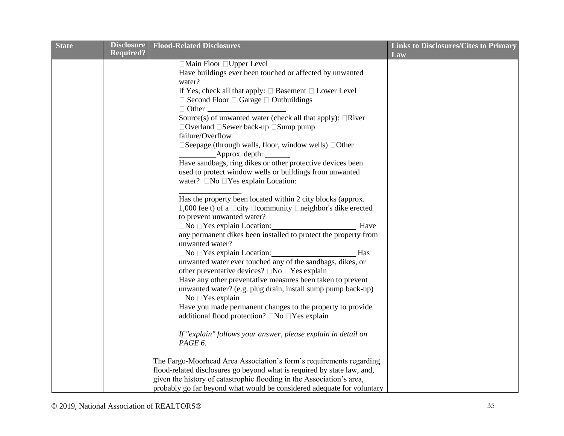| <b>State</b> | <b>Disclosure</b> | <b>Flood-Related Disclosures</b>                                              | <b>Links to Disclosures/Cites to Primary</b> |
|--------------|-------------------|-------------------------------------------------------------------------------|----------------------------------------------|
|              | <b>Required?</b>  |                                                                               | Law                                          |
|              |                   | □ Main Floor □ Upper Level                                                    |                                              |
|              |                   | Have buildings ever been touched or affected by unwanted<br>water?            |                                              |
|              |                   | If Yes, check all that apply: $\square$ Basement $\square$ Lower Level        |                                              |
|              |                   | $\Box$ Second Floor $\Box$ Garage $\Box$ Outbuildings                         |                                              |
|              |                   |                                                                               |                                              |
|              |                   | Source(s) of unwanted water (check all that apply): $\Box$ River              |                                              |
|              |                   | $\Box$ Overland $\Box$ Sewer back-up $\Box$ Sump pump                         |                                              |
|              |                   | failure/Overflow                                                              |                                              |
|              |                   | $\Box$ Seepage (through walls, floor, window wells) $\Box$ Other              |                                              |
|              |                   | Approx. depth:                                                                |                                              |
|              |                   | Have sandbags, ring dikes or other protective devices been                    |                                              |
|              |                   | used to protect window wells or buildings from unwanted                       |                                              |
|              |                   | water? $\Box$ No $\Box$ Yes explain Location:                                 |                                              |
|              |                   |                                                                               |                                              |
|              |                   | Has the property been located within 2 city blocks (approx.                   |                                              |
|              |                   | 1,000 fee t) of a $\Box$ city $\Box$ community $\Box$ neighbor's dike erected |                                              |
|              |                   | to prevent unwanted water?                                                    |                                              |
|              |                   | $\Box$ No $\Box$ Yes explain Location:<br>Have                                |                                              |
|              |                   | any permanent dikes been installed to protect the property from               |                                              |
|              |                   | unwanted water?                                                               |                                              |
|              |                   | $\Box$ No $\Box$ Yes explain Location:<br>Has                                 |                                              |
|              |                   | unwanted water ever touched any of the sandbags, dikes, or                    |                                              |
|              |                   | other preventative devices? $\Box$ No $\Box$ Yes explain                      |                                              |
|              |                   | Have any other preventative measures been taken to prevent                    |                                              |
|              |                   | unwanted water? (e.g. plug drain, install sump pump back-up)                  |                                              |
|              |                   | $\Box$ No $\Box$ Yes explain                                                  |                                              |
|              |                   | Have you made permanent changes to the property to provide                    |                                              |
|              |                   | additional flood protection? □No □Yes explain                                 |                                              |
|              |                   |                                                                               |                                              |
|              |                   | If "explain" follows your answer, please explain in detail on                 |                                              |
|              |                   | PAGE 6.                                                                       |                                              |
|              |                   | The Fargo-Moorhead Area Association's form's requirements regarding           |                                              |
|              |                   | flood-related disclosures go beyond what is required by state law, and,       |                                              |
|              |                   | given the history of catastrophic flooding in the Association's area,         |                                              |
|              |                   | probably go far beyond what would be considered adequate for voluntary        |                                              |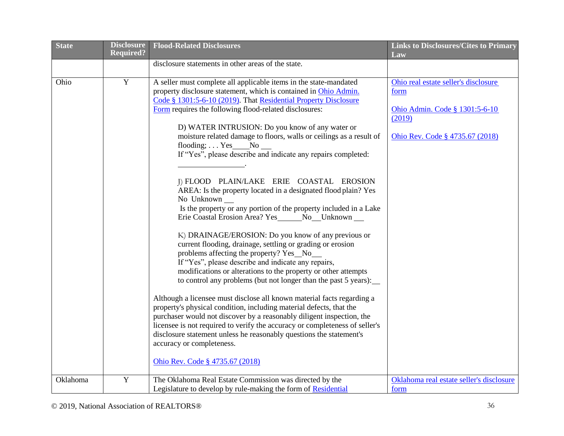| <b>State</b> | <b>Disclosure</b> | <b>Flood-Related Disclosures</b>                                            | <b>Links to Disclosures/Cites to Primary</b> |
|--------------|-------------------|-----------------------------------------------------------------------------|----------------------------------------------|
|              | <b>Required?</b>  |                                                                             | Law                                          |
|              |                   | disclosure statements in other areas of the state.                          |                                              |
| Ohio         | $\overline{Y}$    | A seller must complete all applicable items in the state-mandated           | Ohio real estate seller's disclosure         |
|              |                   | property disclosure statement, which is contained in Ohio Admin.            | form                                         |
|              |                   | Code § 1301:5-6-10 (2019). That Residential Property Disclosure             |                                              |
|              |                   | Form requires the following flood-related disclosures:                      | Ohio Admin. Code § 1301:5-6-10               |
|              |                   |                                                                             | (2019)                                       |
|              |                   | D) WATER INTRUSION: Do you know of any water or                             |                                              |
|              |                   | moisture related damage to floors, walls or ceilings as a result of         | Ohio Rev. Code § 4735.67 (2018)              |
|              |                   | flooding; $\ldots$ Yes No                                                   |                                              |
|              |                   | If "Yes", please describe and indicate any repairs completed:               |                                              |
|              |                   |                                                                             |                                              |
|              |                   |                                                                             |                                              |
|              |                   | I) FLOOD PLAIN/LAKE ERIE COASTAL EROSION                                    |                                              |
|              |                   | AREA: Is the property located in a designated flood plain? Yes              |                                              |
|              |                   | No Unknown                                                                  |                                              |
|              |                   | Is the property or any portion of the property included in a Lake           |                                              |
|              |                   | Erie Coastal Erosion Area? Yes _______ No___Unknown ___                     |                                              |
|              |                   | K) DRAINAGE/EROSION: Do you know of any previous or                         |                                              |
|              |                   | current flooding, drainage, settling or grading or erosion                  |                                              |
|              |                   | problems affecting the property? Yes_No__                                   |                                              |
|              |                   | If "Yes", please describe and indicate any repairs,                         |                                              |
|              |                   | modifications or alterations to the property or other attempts              |                                              |
|              |                   | to control any problems (but not longer than the past 5 years):             |                                              |
|              |                   | Although a licensee must disclose all known material facts regarding a      |                                              |
|              |                   | property's physical condition, including material defects, that the         |                                              |
|              |                   | purchaser would not discover by a reasonably diligent inspection, the       |                                              |
|              |                   | licensee is not required to verify the accuracy or completeness of seller's |                                              |
|              |                   | disclosure statement unless he reasonably questions the statement's         |                                              |
|              |                   | accuracy or completeness.                                                   |                                              |
|              |                   |                                                                             |                                              |
|              |                   | Ohio Rev. Code § 4735.67 (2018)                                             |                                              |
| Oklahoma     | Y                 | The Oklahoma Real Estate Commission was directed by the                     | Oklahoma real estate seller's disclosure     |
|              |                   | Legislature to develop by rule-making the form of Residential               | form                                         |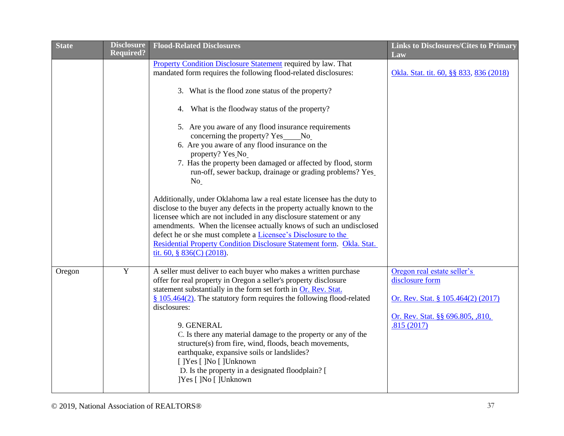| <b>State</b> | <b>Disclosure</b><br><b>Required?</b> | <b>Flood-Related Disclosures</b>                                                                                                                                                                                                                                                                                                                                                                                                                                                                                                                                                                                                                                                                                                                                                                                                                                                                                                                                                                                      | <b>Links to Disclosures/Cites to Primary</b><br>Law                                                                                           |
|--------------|---------------------------------------|-----------------------------------------------------------------------------------------------------------------------------------------------------------------------------------------------------------------------------------------------------------------------------------------------------------------------------------------------------------------------------------------------------------------------------------------------------------------------------------------------------------------------------------------------------------------------------------------------------------------------------------------------------------------------------------------------------------------------------------------------------------------------------------------------------------------------------------------------------------------------------------------------------------------------------------------------------------------------------------------------------------------------|-----------------------------------------------------------------------------------------------------------------------------------------------|
|              |                                       | Property Condition Disclosure Statement required by law. That<br>mandated form requires the following flood-related disclosures:<br>3. What is the flood zone status of the property?<br>4. What is the floodway status of the property?<br>5. Are you aware of any flood insurance requirements<br>concerning the property? Yes No<br>6. Are you aware of any flood insurance on the<br>property? Yes No<br>7. Has the property been damaged or affected by flood, storm<br>run-off, sewer backup, drainage or grading problems? Yes<br>No<br>Additionally, under Oklahoma law a real estate licensee has the duty to<br>disclose to the buyer any defects in the property actually known to the<br>licensee which are not included in any disclosure statement or any<br>amendments. When the licensee actually knows of such an undisclosed<br>defect he or she must complete a Licensee's Disclosure to the<br>Residential Property Condition Disclosure Statement form. Okla. Stat.<br>tit. 60, § 836(C) (2018). | Okla. Stat. tit. 60, §§ 833, 836 (2018)                                                                                                       |
| Oregon       | $\mathbf Y$                           | A seller must deliver to each buyer who makes a written purchase<br>offer for real property in Oregon a seller's property disclosure<br>statement substantially in the form set forth in Or. Rev. Stat.<br>§ 105.464(2). The statutory form requires the following flood-related<br>disclosures:<br>9. GENERAL<br>C. Is there any material damage to the property or any of the<br>structure(s) from fire, wind, floods, beach movements,<br>earthquake, expansive soils or landslides?<br>[ ]Yes [ ]No [ ]Unknown<br>D. Is the property in a designated floodplain? [<br>[Yes []No []Unknown                                                                                                                                                                                                                                                                                                                                                                                                                         | Oregon real estate seller's<br>disclosure form<br><u>Or. Rev. Stat. § 105.464(2) (2017)</u><br>Or. Rev. Stat. §§ 696.805, ,810,<br>.815(2017) |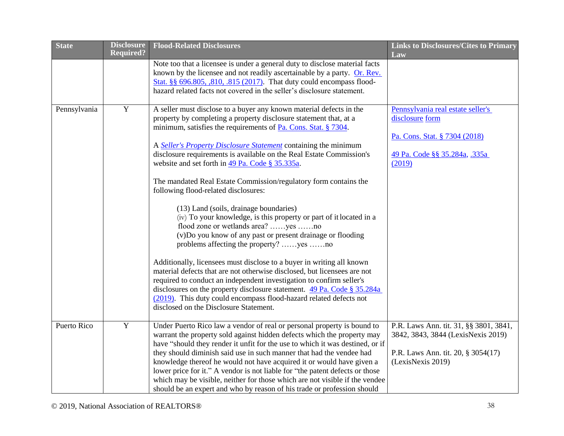| <b>State</b> | <b>Disclosure</b> | <b>Flood-Related Disclosures</b>                                                                                                                                                                                                                                                                                                                                                                                                                                                                                                                                                                                                                                                                                                                                                                                                                                                                                                                                                                                                                                                                                                                                                                              | <b>Links to Disclosures/Cites to Primary</b>                                                                                            |
|--------------|-------------------|---------------------------------------------------------------------------------------------------------------------------------------------------------------------------------------------------------------------------------------------------------------------------------------------------------------------------------------------------------------------------------------------------------------------------------------------------------------------------------------------------------------------------------------------------------------------------------------------------------------------------------------------------------------------------------------------------------------------------------------------------------------------------------------------------------------------------------------------------------------------------------------------------------------------------------------------------------------------------------------------------------------------------------------------------------------------------------------------------------------------------------------------------------------------------------------------------------------|-----------------------------------------------------------------------------------------------------------------------------------------|
|              | <b>Required?</b>  | Note too that a licensee is under a general duty to disclose material facts<br>known by the licensee and not readily ascertainable by a party. Or. Rev.<br>Stat. §§ 696.805, ,810, .815 (2017). That duty could encompass flood-<br>hazard related facts not covered in the seller's disclosure statement.                                                                                                                                                                                                                                                                                                                                                                                                                                                                                                                                                                                                                                                                                                                                                                                                                                                                                                    | Law                                                                                                                                     |
| Pennsylvania | $\mathbf Y$       | A seller must disclose to a buyer any known material defects in the<br>property by completing a property disclosure statement that, at a<br>minimum, satisfies the requirements of Pa. Cons. Stat. § 7304.<br>A Seller's Property Disclosure Statement containing the minimum<br>disclosure requirements is available on the Real Estate Commission's<br>website and set forth in 49 Pa. Code § 35.335a.<br>The mandated Real Estate Commission/regulatory form contains the<br>following flood-related disclosures:<br>(13) Land (soils, drainage boundaries)<br>(iv) To your knowledge, is this property or part of it located in a<br>flood zone or wetlands area? yes no<br>(v)Do you know of any past or present drainage or flooding<br>problems affecting the property? yes no<br>Additionally, licensees must disclose to a buyer in writing all known<br>material defects that are not otherwise disclosed, but licensees are not<br>required to conduct an independent investigation to confirm seller's<br>disclosures on the property disclosure statement. 49 Pa. Code § 35.284a<br>(2019). This duty could encompass flood-hazard related defects not<br>disclosed on the Disclosure Statement. | Pennsylvania real estate seller's<br>disclosure form<br>Pa. Cons. Stat. § 7304 (2018)<br>49 Pa. Code §§ 35.284a, 335a<br>(2019)         |
| Puerto Rico  | $\mathbf Y$       | Under Puerto Rico law a vendor of real or personal property is bound to<br>warrant the property sold against hidden defects which the property may<br>have "should they render it unfit for the use to which it was destined, or if<br>they should diminish said use in such manner that had the vendee had<br>knowledge thereof he would not have acquired it or would have given a<br>lower price for it." A vendor is not liable for "the patent defects or those<br>which may be visible, neither for those which are not visible if the vendee<br>should be an expert and who by reason of his trade or profession should                                                                                                                                                                                                                                                                                                                                                                                                                                                                                                                                                                                | P.R. Laws Ann. tit. 31, §§ 3801, 3841,<br>3842, 3843, 3844 (LexisNexis 2019)<br>P.R. Laws Ann. tit. 20, § 3054(17)<br>(LexisNexis 2019) |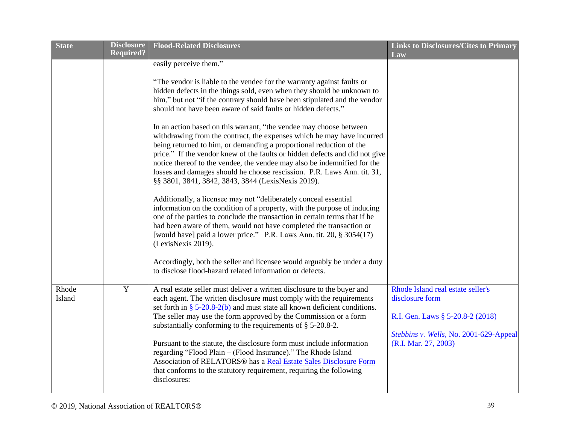| <b>State</b>    | <b>Disclosure</b> | <b>Flood-Related Disclosures</b>                                                                                                                                                                                                                                                                                                                                                                                                                                                                                                                                                                                                                                                                                                                                                                                                                                                                                                                                                                                                                                                                                                                                                                                                                                                                                                                                                       | <b>Links to Disclosures/Cites to Primary</b>                                                                                                               |
|-----------------|-------------------|----------------------------------------------------------------------------------------------------------------------------------------------------------------------------------------------------------------------------------------------------------------------------------------------------------------------------------------------------------------------------------------------------------------------------------------------------------------------------------------------------------------------------------------------------------------------------------------------------------------------------------------------------------------------------------------------------------------------------------------------------------------------------------------------------------------------------------------------------------------------------------------------------------------------------------------------------------------------------------------------------------------------------------------------------------------------------------------------------------------------------------------------------------------------------------------------------------------------------------------------------------------------------------------------------------------------------------------------------------------------------------------|------------------------------------------------------------------------------------------------------------------------------------------------------------|
|                 | <b>Required?</b>  | easily perceive them."<br>"The vendor is liable to the vendee for the warranty against faults or<br>hidden defects in the things sold, even when they should be unknown to<br>him," but not "if the contrary should have been stipulated and the vendor<br>should not have been aware of said faults or hidden defects."<br>In an action based on this warrant, "the vendee may choose between<br>withdrawing from the contract, the expenses which he may have incurred<br>being returned to him, or demanding a proportional reduction of the<br>price." If the vendor knew of the faults or hidden defects and did not give<br>notice thereof to the vendee, the vendee may also be indemnified for the<br>losses and damages should he choose rescission. P.R. Laws Ann. tit. 31,<br>§§ 3801, 3841, 3842, 3843, 3844 (LexisNexis 2019).<br>Additionally, a licensee may not "deliberately conceal essential<br>information on the condition of a property, with the purpose of inducing<br>one of the parties to conclude the transaction in certain terms that if he<br>had been aware of them, would not have completed the transaction or<br>[would have] paid a lower price." P.R. Laws Ann. tit. 20, § 3054(17)<br>(LexisNexis 2019).<br>Accordingly, both the seller and licensee would arguably be under a duty<br>to disclose flood-hazard related information or defects. | Law                                                                                                                                                        |
| Rhode<br>Island | $\mathbf Y$       | A real estate seller must deliver a written disclosure to the buyer and<br>each agent. The written disclosure must comply with the requirements<br>set forth in $\S$ 5-20.8-2(b) and must state all known deficient conditions.<br>The seller may use the form approved by the Commission or a form<br>substantially conforming to the requirements of § 5-20.8-2.<br>Pursuant to the statute, the disclosure form must include information<br>regarding "Flood Plain - (Flood Insurance)." The Rhode Island<br>Association of RELATORS <sup>®</sup> has a Real Estate Sales Disclosure Form<br>that conforms to the statutory requirement, requiring the following<br>disclosures:                                                                                                                                                                                                                                                                                                                                                                                                                                                                                                                                                                                                                                                                                                    | Rhode Island real estate seller's<br>disclosure form<br>R.I. Gen. Laws § 5-20.8-2 (2018)<br>Stebbins v. Wells, No. 2001-629-Appeal<br>(R.I. Mar. 27, 2003) |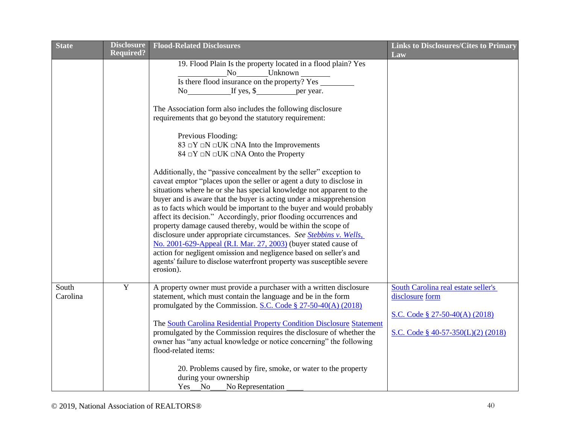| <b>State</b> | <b>Disclosure</b> | <b>Flood-Related Disclosures</b>                                                                                                           | <b>Links to Disclosures/Cites to Primary</b> |
|--------------|-------------------|--------------------------------------------------------------------------------------------------------------------------------------------|----------------------------------------------|
|              | <b>Required?</b>  |                                                                                                                                            | Law                                          |
|              |                   | 19. Flood Plain Is the property located in a flood plain? Yes                                                                              |                                              |
|              |                   | No<br>Is there flood insurance on the property? Yes                                                                                        |                                              |
|              |                   |                                                                                                                                            |                                              |
|              |                   | No If yes, \$ per year.                                                                                                                    |                                              |
|              |                   | The Association form also includes the following disclosure                                                                                |                                              |
|              |                   | requirements that go beyond the statutory requirement:                                                                                     |                                              |
|              |                   | Previous Flooding:                                                                                                                         |                                              |
|              |                   | 83 $\Box Y \Box N \Box UK \Box NA$ Into the Improvements                                                                                   |                                              |
|              |                   | $84 \Box Y \Box N \Box UK \Box NA$ Onto the Property                                                                                       |                                              |
|              |                   | Additionally, the "passive concealment by the seller" exception to<br>caveat emptor "places upon the seller or agent a duty to disclose in |                                              |
|              |                   | situations where he or she has special knowledge not apparent to the                                                                       |                                              |
|              |                   | buyer and is aware that the buyer is acting under a misapprehension                                                                        |                                              |
|              |                   | as to facts which would be important to the buyer and would probably                                                                       |                                              |
|              |                   | affect its decision." Accordingly, prior flooding occurrences and                                                                          |                                              |
|              |                   | property damage caused thereby, would be within the scope of                                                                               |                                              |
|              |                   | disclosure under appropriate circumstances. See Stebbins v. Wells,                                                                         |                                              |
|              |                   | No. 2001-629-Appeal (R.I. Mar. 27, 2003) (buyer stated cause of                                                                            |                                              |
|              |                   | action for negligent omission and negligence based on seller's and                                                                         |                                              |
|              |                   | agents' failure to disclose waterfront property was susceptible severe                                                                     |                                              |
|              |                   | erosion).                                                                                                                                  |                                              |
| South        | $\mathbf Y$       | A property owner must provide a purchaser with a written disclosure                                                                        | South Carolina real estate seller's          |
| Carolina     |                   | statement, which must contain the language and be in the form                                                                              | disclosure form                              |
|              |                   | promulgated by the Commission. S.C. Code $\S 27-50-40(A)$ (2018)                                                                           |                                              |
|              |                   |                                                                                                                                            | S.C. Code § 27-50-40(A) $(2018)$             |
|              |                   | The South Carolina Residential Property Condition Disclosure Statement                                                                     |                                              |
|              |                   | promulgated by the Commission requires the disclosure of whether the                                                                       | S.C. Code § 40-57-350(L)(2) (2018)           |
|              |                   | owner has "any actual knowledge or notice concerning" the following                                                                        |                                              |
|              |                   | flood-related items:                                                                                                                       |                                              |
|              |                   | 20. Problems caused by fire, smoke, or water to the property                                                                               |                                              |
|              |                   | during your ownership                                                                                                                      |                                              |
|              |                   | Yes No No Representation                                                                                                                   |                                              |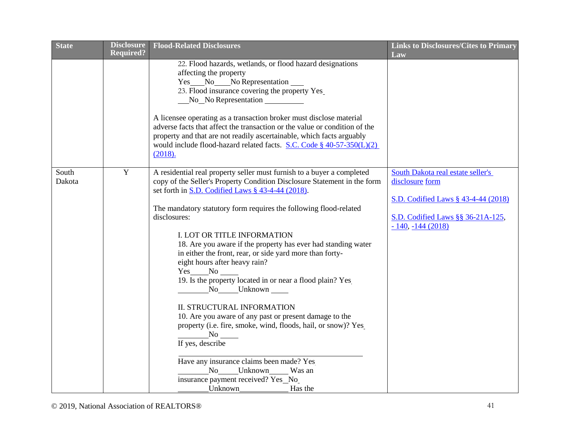| <b>State</b> | <b>Disclosure</b> | <b>Flood-Related Disclosures</b>                                                                                              | <b>Links to Disclosures/Cites to Primary</b> |
|--------------|-------------------|-------------------------------------------------------------------------------------------------------------------------------|----------------------------------------------|
|              | <b>Required?</b>  |                                                                                                                               | Law                                          |
|              |                   | 22. Flood hazards, wetlands, or flood hazard designations                                                                     |                                              |
|              |                   | affecting the property                                                                                                        |                                              |
|              |                   | Yes No No Representation<br>23. Flood insurance covering the property Yes_                                                    |                                              |
|              |                   | No No Representation                                                                                                          |                                              |
|              |                   |                                                                                                                               |                                              |
|              |                   | A licensee operating as a transaction broker must disclose material                                                           |                                              |
|              |                   | adverse facts that affect the transaction or the value or condition of the                                                    |                                              |
|              |                   | property and that are not readily ascertainable, which facts arguably                                                         |                                              |
|              |                   | would include flood-hazard related facts. S.C. Code § $40-57-350(L)(2)$                                                       |                                              |
|              |                   | (2018).                                                                                                                       |                                              |
|              |                   |                                                                                                                               |                                              |
| South        | $\overline{Y}$    | A residential real property seller must furnish to a buyer a completed                                                        | South Dakota real estate seller's            |
| Dakota       |                   | copy of the Seller's Property Condition Disclosure Statement in the form<br>set forth in S.D. Codified Laws § 43-4-44 (2018). | disclosure form                              |
|              |                   |                                                                                                                               | S.D. Codified Laws § 43-4-44 (2018)          |
|              |                   | The mandatory statutory form requires the following flood-related                                                             |                                              |
|              |                   | disclosures:                                                                                                                  | S.D. Codified Laws §§ 36-21A-125,            |
|              |                   |                                                                                                                               | $-140, -144(2018)$                           |
|              |                   | I. LOT OR TITLE INFORMATION                                                                                                   |                                              |
|              |                   | 18. Are you aware if the property has ever had standing water                                                                 |                                              |
|              |                   | in either the front, rear, or side yard more than forty-                                                                      |                                              |
|              |                   | eight hours after heavy rain?                                                                                                 |                                              |
|              |                   | Yes No                                                                                                                        |                                              |
|              |                   | 19. Is the property located in or near a flood plain? Yes                                                                     |                                              |
|              |                   | No Unknown                                                                                                                    |                                              |
|              |                   | <b>II. STRUCTURAL INFORMATION</b>                                                                                             |                                              |
|              |                   | 10. Are you aware of any past or present damage to the                                                                        |                                              |
|              |                   | property (i.e. fire, smoke, wind, floods, hail, or snow)? Yes                                                                 |                                              |
|              |                   | No no                                                                                                                         |                                              |
|              |                   | If yes, describe                                                                                                              |                                              |
|              |                   | Have any insurance claims been made? Yes                                                                                      |                                              |
|              |                   | No Unknown Was an                                                                                                             |                                              |
|              |                   | insurance payment received? Yes_No_                                                                                           |                                              |
|              |                   | Unknown<br>Has the                                                                                                            |                                              |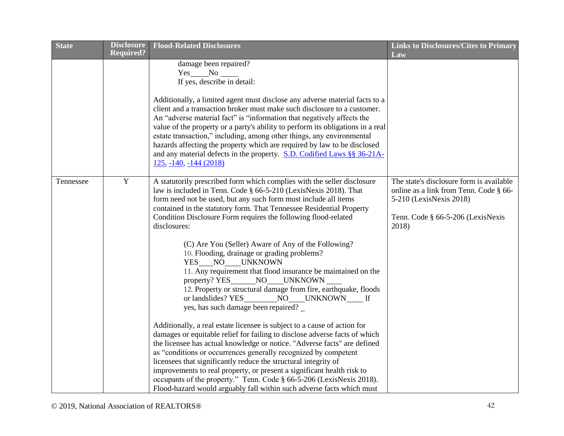| <b>State</b> | <b>Disclosure</b> | <b>Flood-Related Disclosures</b>                                                                                                        | <b>Links to Disclosures/Cites to Primary</b> |
|--------------|-------------------|-----------------------------------------------------------------------------------------------------------------------------------------|----------------------------------------------|
|              | <b>Required?</b>  |                                                                                                                                         | Law                                          |
|              |                   | damage been repaired?                                                                                                                   |                                              |
|              |                   | $Yes$ No $\_\_$                                                                                                                         |                                              |
|              |                   | If yes, describe in detail:                                                                                                             |                                              |
|              |                   | Additionally, a limited agent must disclose any adverse material facts to a                                                             |                                              |
|              |                   | client and a transaction broker must make such disclosure to a customer.                                                                |                                              |
|              |                   | An "adverse material fact" is "information that negatively affects the                                                                  |                                              |
|              |                   | value of the property or a party's ability to perform its obligations in a real                                                         |                                              |
|              |                   | estate transaction," including, among other things, any environmental                                                                   |                                              |
|              |                   | hazards affecting the property which are required by law to be disclosed                                                                |                                              |
|              |                   | and any material defects in the property. S.D. Codified Laws §§ 36-21A-                                                                 |                                              |
|              |                   | $125, -140, -144$ (2018)                                                                                                                |                                              |
|              |                   |                                                                                                                                         |                                              |
| Tennessee    | Y                 | A statutorily prescribed form which complies with the seller disclosure                                                                 | The state's disclosure form is available     |
|              |                   | law is included in Tenn. Code § 66-5-210 (LexisNexis 2018). That                                                                        | online as a link from Tenn. Code § 66-       |
|              |                   | form need not be used, but any such form must include all items<br>contained in the statutory form. That Tennessee Residential Property | 5-210 (LexisNexis 2018)                      |
|              |                   | Condition Disclosure Form requires the following flood-related                                                                          | Tenn. Code § 66-5-206 (LexisNexis            |
|              |                   | disclosures:                                                                                                                            | 2018)                                        |
|              |                   |                                                                                                                                         |                                              |
|              |                   | (C) Are You (Seller) Aware of Any of the Following?                                                                                     |                                              |
|              |                   | 10. Flooding, drainage or grading problems?                                                                                             |                                              |
|              |                   | YES NO UNKNOWN                                                                                                                          |                                              |
|              |                   | 11. Any requirement that flood insurance be maintained on the                                                                           |                                              |
|              |                   | property? YES NO UNKNOWN                                                                                                                |                                              |
|              |                   | 12. Property or structural damage from fire, earthquake, floods                                                                         |                                              |
|              |                   | or landslides? YES_________NO____UNKNOWN_____ If                                                                                        |                                              |
|              |                   | yes, has such damage been repaired? _                                                                                                   |                                              |
|              |                   | Additionally, a real estate licensee is subject to a cause of action for                                                                |                                              |
|              |                   | damages or equitable relief for failing to disclose adverse facts of which                                                              |                                              |
|              |                   | the licensee has actual knowledge or notice. "Adverse facts" are defined                                                                |                                              |
|              |                   | as "conditions or occurrences generally recognized by competent                                                                         |                                              |
|              |                   | licensees that significantly reduce the structural integrity of                                                                         |                                              |
|              |                   | improvements to real property, or present a significant health risk to                                                                  |                                              |
|              |                   | occupants of the property." Tenn. Code § 66-5-206 (LexisNexis 2018).                                                                    |                                              |
|              |                   | Flood-hazard would arguably fall within such adverse facts which must                                                                   |                                              |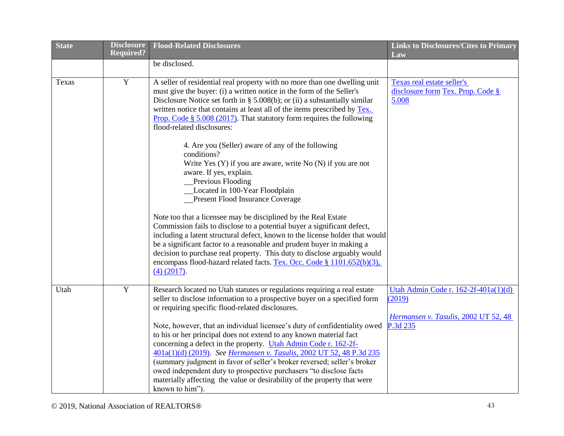| <b>State</b> | <b>Disclosure</b> | <b>Flood-Related Disclosures</b>                                                | <b>Links to Disclosures/Cites to Primary</b> |
|--------------|-------------------|---------------------------------------------------------------------------------|----------------------------------------------|
|              | <b>Required?</b>  |                                                                                 | Law                                          |
|              |                   | be disclosed.                                                                   |                                              |
| Texas        | $\mathbf Y$       | A seller of residential real property with no more than one dwelling unit       | Texas real estate seller's                   |
|              |                   | must give the buyer: (i) a written notice in the form of the Seller's           | disclosure form Tex. Prop. Code §            |
|              |                   | Disclosure Notice set forth in $\S$ 5.008(b); or (ii) a substantially similar   | 5.008                                        |
|              |                   | written notice that contains at least all of the items prescribed by Tex.       |                                              |
|              |                   | <b>Prop.</b> Code $\S$ 5.008 (2017). That statutory form requires the following |                                              |
|              |                   | flood-related disclosures:                                                      |                                              |
|              |                   | 4. Are you (Seller) aware of any of the following<br>conditions?                |                                              |
|              |                   | Write Yes (Y) if you are aware, write No (N) if you are not                     |                                              |
|              |                   | aware. If yes, explain.                                                         |                                              |
|              |                   | <b>Previous Flooding</b>                                                        |                                              |
|              |                   | Located in 100-Year Floodplain                                                  |                                              |
|              |                   | <b>Present Flood Insurance Coverage</b>                                         |                                              |
|              |                   |                                                                                 |                                              |
|              |                   | Note too that a licensee may be disciplined by the Real Estate                  |                                              |
|              |                   | Commission fails to disclose to a potential buyer a significant defect,         |                                              |
|              |                   | including a latent structural defect, known to the license holder that would    |                                              |
|              |                   | be a significant factor to a reasonable and prudent buyer in making a           |                                              |
|              |                   | decision to purchase real property. This duty to disclose arguably would        |                                              |
|              |                   | encompass flood-hazard related facts. Tex. Occ. Code § 1101.652(b)(3),          |                                              |
|              |                   | $(4)$ $(2017)$ .                                                                |                                              |
|              |                   |                                                                                 |                                              |
| Utah         | $\mathbf Y$       | Research located no Utah statutes or regulations requiring a real estate        | Utah Admin Code r. $162-2f-401a(1)(d)$       |
|              |                   | seller to disclose information to a prospective buyer on a specified form       | (2019)                                       |
|              |                   | or requiring specific flood-related disclosures.                                |                                              |
|              |                   |                                                                                 | Hermansen v. Tasulis, 2002 UT 52, 48         |
|              |                   | Note, however, that an individual licensee's duty of confidentiality owed       | P.3d 235                                     |
|              |                   | to his or her principal does not extend to any known material fact              |                                              |
|              |                   | concerning a defect in the property. Utah Admin Code r. 162-2f-                 |                                              |
|              |                   | 401a(1)(d) (2019). See Hermansen v. Tasulis, 2002 UT 52, 48 P.3d 235            |                                              |
|              |                   | (summary judgment in favor of seller's broker reversed; seller's broker         |                                              |
|              |                   | owed independent duty to prospective purchasers "to disclose facts              |                                              |
|              |                   | materially affecting the value or desirability of the property that were        |                                              |
|              |                   | known to him").                                                                 |                                              |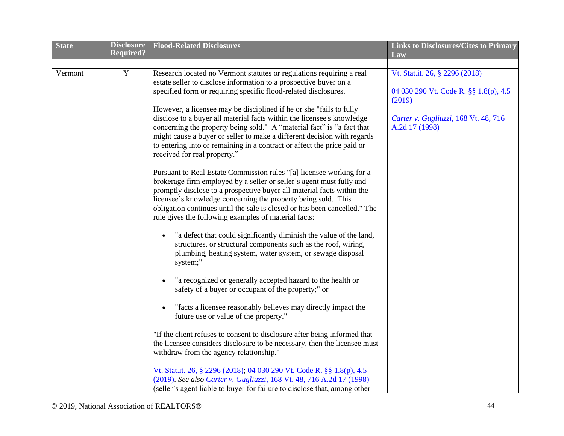| <b>State</b> | <b>Disclosure</b> | <b>Flood-Related Disclosures</b>                                                                                                                                                                                                                                                                                                                                                                                             | <b>Links to Disclosures/Cites to Primary</b>                                      |
|--------------|-------------------|------------------------------------------------------------------------------------------------------------------------------------------------------------------------------------------------------------------------------------------------------------------------------------------------------------------------------------------------------------------------------------------------------------------------------|-----------------------------------------------------------------------------------|
|              | <b>Required?</b>  |                                                                                                                                                                                                                                                                                                                                                                                                                              | Law                                                                               |
| Vermont      | $\overline{Y}$    | Research located no Vermont statutes or regulations requiring a real<br>estate seller to disclose information to a prospective buyer on a<br>specified form or requiring specific flood-related disclosures.                                                                                                                                                                                                                 | Vt. Stat.it. 26, § 2296 (2018)<br>04 030 290 Vt. Code R. §§ 1.8(p), 4.5<br>(2019) |
|              |                   | However, a licensee may be disciplined if he or she "fails to fully<br>disclose to a buyer all material facts within the licensee's knowledge<br>concerning the property being sold." A "material fact" is "a fact that<br>might cause a buyer or seller to make a different decision with regards<br>to entering into or remaining in a contract or affect the price paid or<br>received for real property."                | Carter v. Gugliuzzi, 168 Vt. 48, 716<br>A.2d 17 (1998)                            |
|              |                   | Pursuant to Real Estate Commission rules "[a] licensee working for a<br>brokerage firm employed by a seller or seller's agent must fully and<br>promptly disclose to a prospective buyer all material facts within the<br>licensee's knowledge concerning the property being sold. This<br>obligation continues until the sale is closed or has been cancelled." The<br>rule gives the following examples of material facts: |                                                                                   |
|              |                   | "a defect that could significantly diminish the value of the land,<br>structures, or structural components such as the roof, wiring,<br>plumbing, heating system, water system, or sewage disposal<br>system;"                                                                                                                                                                                                               |                                                                                   |
|              |                   | "a recognized or generally accepted hazard to the health or<br>safety of a buyer or occupant of the property;" or                                                                                                                                                                                                                                                                                                            |                                                                                   |
|              |                   | "facts a licensee reasonably believes may directly impact the<br>future use or value of the property."                                                                                                                                                                                                                                                                                                                       |                                                                                   |
|              |                   | "If the client refuses to consent to disclosure after being informed that<br>the licensee considers disclosure to be necessary, then the licensee must<br>withdraw from the agency relationship."                                                                                                                                                                                                                            |                                                                                   |
|              |                   | Vt. Stat.it. 26, § 2296 (2018); 04 030 290 Vt. Code R. §§ 1.8(p), 4.5<br>(2019). See also Carter v. Gugliuzzi, 168 Vt. 48, 716 A.2d 17 (1998)<br>(seller's agent liable to buyer for failure to disclose that, among other                                                                                                                                                                                                   |                                                                                   |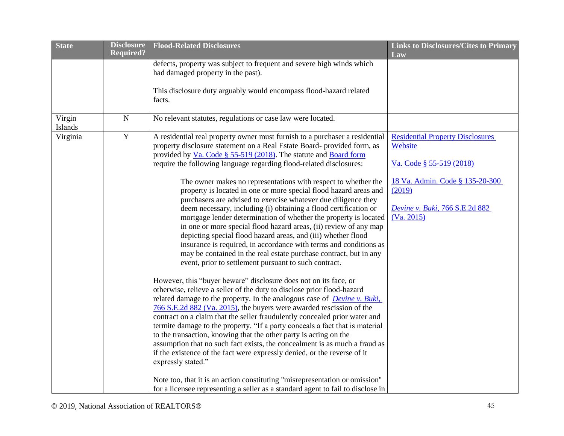| <b>State</b>      | <b>Disclosure</b> | <b>Flood-Related Disclosures</b>                                                                                                                                                                                                                                                                                                                                                                                                                                                                                                                                                                                                                                                                                                                                                                         | <b>Links to Disclosures/Cites to Primary</b>                                                     |
|-------------------|-------------------|----------------------------------------------------------------------------------------------------------------------------------------------------------------------------------------------------------------------------------------------------------------------------------------------------------------------------------------------------------------------------------------------------------------------------------------------------------------------------------------------------------------------------------------------------------------------------------------------------------------------------------------------------------------------------------------------------------------------------------------------------------------------------------------------------------|--------------------------------------------------------------------------------------------------|
|                   | <b>Required?</b>  |                                                                                                                                                                                                                                                                                                                                                                                                                                                                                                                                                                                                                                                                                                                                                                                                          | Law                                                                                              |
|                   |                   | defects, property was subject to frequent and severe high winds which<br>had damaged property in the past).                                                                                                                                                                                                                                                                                                                                                                                                                                                                                                                                                                                                                                                                                              |                                                                                                  |
|                   |                   |                                                                                                                                                                                                                                                                                                                                                                                                                                                                                                                                                                                                                                                                                                                                                                                                          |                                                                                                  |
|                   |                   | This disclosure duty arguably would encompass flood-hazard related<br>facts.                                                                                                                                                                                                                                                                                                                                                                                                                                                                                                                                                                                                                                                                                                                             |                                                                                                  |
| Virgin<br>Islands | ${\bf N}$         | No relevant statutes, regulations or case law were located.                                                                                                                                                                                                                                                                                                                                                                                                                                                                                                                                                                                                                                                                                                                                              |                                                                                                  |
| Virginia          | $\mathbf Y$       | A residential real property owner must furnish to a purchaser a residential<br>property disclosure statement on a Real Estate Board- provided form, as<br>provided by <u>Va. Code § 55-519 (2018)</u> . The statute and <b>Board form</b><br>require the following language regarding flood-related disclosures:                                                                                                                                                                                                                                                                                                                                                                                                                                                                                         | <b>Residential Property Disclosures</b><br>Website<br>Va. Code § 55-519 (2018)                   |
|                   |                   | The owner makes no representations with respect to whether the<br>property is located in one or more special flood hazard areas and<br>purchasers are advised to exercise whatever due diligence they<br>deem necessary, including (i) obtaining a flood certification or<br>mortgage lender determination of whether the property is located<br>in one or more special flood hazard areas, (ii) review of any map<br>depicting special flood hazard areas, and (iii) whether flood<br>insurance is required, in accordance with terms and conditions as<br>may be contained in the real estate purchase contract, but in any<br>event, prior to settlement pursuant to such contract.                                                                                                                   | 18 Va. Admin. Code § 135-20-300<br>(2019)<br><b>Devine v. Buki, 766 S.E.2d 882</b><br>(Va. 2015) |
|                   |                   | However, this "buyer beware" disclosure does not on its face, or<br>otherwise, relieve a seller of the duty to disclose prior flood-hazard<br>related damage to the property. In the analogous case of <i>Devine v. Buki</i> ,<br>766 S.E.2d 882 (Va. 2015), the buyers were awarded rescission of the<br>contract on a claim that the seller fraudulently concealed prior water and<br>termite damage to the property. "If a party conceals a fact that is material<br>to the transaction, knowing that the other party is acting on the<br>assumption that no such fact exists, the concealment is as much a fraud as<br>if the existence of the fact were expressly denied, or the reverse of it<br>expressly stated."<br>Note too, that it is an action constituting "misrepresentation or omission" |                                                                                                  |
|                   |                   | for a licensee representing a seller as a standard agent to fail to disclose in                                                                                                                                                                                                                                                                                                                                                                                                                                                                                                                                                                                                                                                                                                                          |                                                                                                  |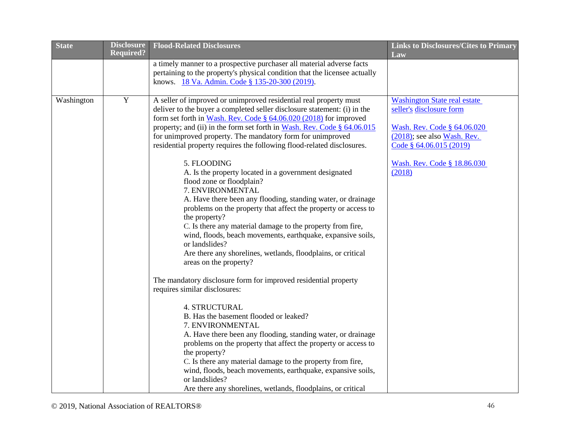| <b>Disclosure</b> | <b>Flood-Related Disclosures</b>                                                                                                                                                                                                                                                                                                                                                                                                                                                                                  | <b>Links to Disclosures/Cites to Primary</b>                                                                                                                |
|-------------------|-------------------------------------------------------------------------------------------------------------------------------------------------------------------------------------------------------------------------------------------------------------------------------------------------------------------------------------------------------------------------------------------------------------------------------------------------------------------------------------------------------------------|-------------------------------------------------------------------------------------------------------------------------------------------------------------|
|                   | a timely manner to a prospective purchaser all material adverse facts<br>pertaining to the property's physical condition that the licensee actually<br>knows. 18 Va. Admin. Code § 135-20-300 (2019).                                                                                                                                                                                                                                                                                                             | Law                                                                                                                                                         |
| $\mathbf Y$       | A seller of improved or unimproved residential real property must<br>deliver to the buyer a completed seller disclosure statement: (i) in the<br>form set forth in Wash. Rev. Code $\S$ 64.06.020 (2018) for improved<br>property; and (ii) in the form set forth in Wash. Rev. Code $\S$ 64.06.015<br>for unimproved property. The mandatory form for unimproved<br>residential property requires the following flood-related disclosures.                                                                       | <b>Washington State real estate</b><br>seller's disclosure form<br>Wash. Rev. Code § 64.06.020<br>$(2018)$ ; see also Wash. Rev.<br>Code § 64.06.015 (2019) |
|                   | 5. FLOODING<br>A. Is the property located in a government designated<br>flood zone or floodplain?<br>7. ENVIRONMENTAL<br>A. Have there been any flooding, standing water, or drainage<br>problems on the property that affect the property or access to<br>the property?<br>C. Is there any material damage to the property from fire,<br>wind, floods, beach movements, earthquake, expansive soils,<br>or landslides?<br>Are there any shorelines, wetlands, floodplains, or critical<br>areas on the property? | Wash. Rev. Code § 18.86.030<br>(2018)                                                                                                                       |
|                   | The mandatory disclosure form for improved residential property<br>requires similar disclosures:<br><b>4. STRUCTURAL</b><br>B. Has the basement flooded or leaked?<br>7. ENVIRONMENTAL<br>A. Have there been any flooding, standing water, or drainage<br>problems on the property that affect the property or access to<br>the property?<br>C. Is there any material damage to the property from fire,<br>wind, floods, beach movements, earthquake, expansive soils,<br>or landslides?                          |                                                                                                                                                             |
|                   | <b>Required?</b>                                                                                                                                                                                                                                                                                                                                                                                                                                                                                                  | Are there any shorelines, wetlands, floodplains, or critical                                                                                                |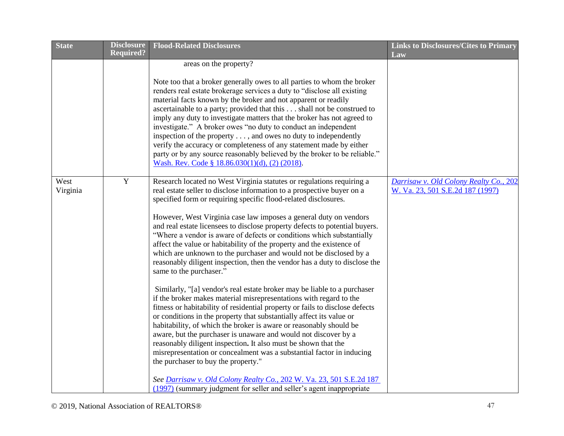| <b>State</b>     | <b>Disclosure</b><br><b>Required?</b> | <b>Flood-Related Disclosures</b>                                                                                                                                                                                                                                                                                                                                                                                                                                                                                                                                                                                                                                                                                                                                                                                                                                                                                                                                                                                                                                                                                                                                                                                                                                                                                                                                                                                     | <b>Links to Disclosures/Cites to Primary</b>                               |
|------------------|---------------------------------------|----------------------------------------------------------------------------------------------------------------------------------------------------------------------------------------------------------------------------------------------------------------------------------------------------------------------------------------------------------------------------------------------------------------------------------------------------------------------------------------------------------------------------------------------------------------------------------------------------------------------------------------------------------------------------------------------------------------------------------------------------------------------------------------------------------------------------------------------------------------------------------------------------------------------------------------------------------------------------------------------------------------------------------------------------------------------------------------------------------------------------------------------------------------------------------------------------------------------------------------------------------------------------------------------------------------------------------------------------------------------------------------------------------------------|----------------------------------------------------------------------------|
|                  |                                       | areas on the property?                                                                                                                                                                                                                                                                                                                                                                                                                                                                                                                                                                                                                                                                                                                                                                                                                                                                                                                                                                                                                                                                                                                                                                                                                                                                                                                                                                                               | Law                                                                        |
|                  |                                       | Note too that a broker generally owes to all parties to whom the broker<br>renders real estate brokerage services a duty to "disclose all existing<br>material facts known by the broker and not apparent or readily<br>ascertainable to a party; provided that this shall not be construed to<br>imply any duty to investigate matters that the broker has not agreed to<br>investigate." A broker owes "no duty to conduct an independent<br>inspection of the property $\dots$ , and owes no duty to independently<br>verify the accuracy or completeness of any statement made by either<br>party or by any source reasonably believed by the broker to be reliable."<br>Wash. Rev. Code § 18.86.030(1)(d), (2) (2018).                                                                                                                                                                                                                                                                                                                                                                                                                                                                                                                                                                                                                                                                                          |                                                                            |
| West<br>Virginia | Y                                     | Research located no West Virginia statutes or regulations requiring a<br>real estate seller to disclose information to a prospective buyer on a<br>specified form or requiring specific flood-related disclosures.<br>However, West Virginia case law imposes a general duty on vendors<br>and real estate licensees to disclose property defects to potential buyers.<br>"Where a vendor is aware of defects or conditions which substantially<br>affect the value or habitability of the property and the existence of<br>which are unknown to the purchaser and would not be disclosed by a<br>reasonably diligent inspection, then the vendor has a duty to disclose the<br>same to the purchaser."<br>Similarly, "[a] vendor's real estate broker may be liable to a purchaser<br>if the broker makes material misrepresentations with regard to the<br>fitness or habitability of residential property or fails to disclose defects<br>or conditions in the property that substantially affect its value or<br>habitability, of which the broker is aware or reasonably should be<br>aware, but the purchaser is unaware and would not discover by a<br>reasonably diligent inspection. It also must be shown that the<br>misrepresentation or concealment was a substantial factor in inducing<br>the purchaser to buy the property."<br>See Darrisaw v. Old Colony Realty Co., 202 W. Va. 23, 501 S.E.2d 187 | Darrisaw v. Old Colony Realty Co., 202<br>W. Va. 23, 501 S.E.2d 187 (1997) |
|                  |                                       | (1997) (summary judgment for seller and seller's agent inappropriate                                                                                                                                                                                                                                                                                                                                                                                                                                                                                                                                                                                                                                                                                                                                                                                                                                                                                                                                                                                                                                                                                                                                                                                                                                                                                                                                                 |                                                                            |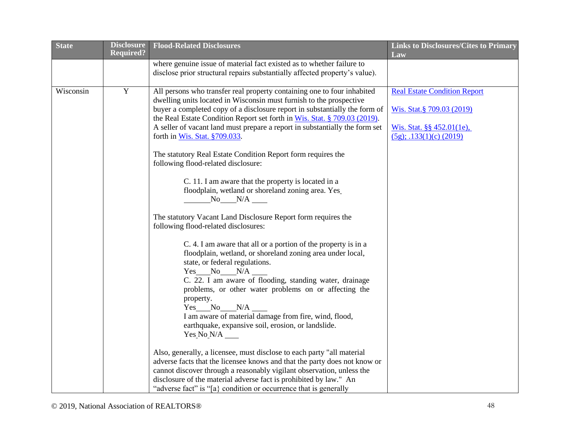| <b>State</b> | <b>Disclosure</b> | <b>Flood-Related Disclosures</b>                                                                                                                                                                                                                                                                                                                                      | <b>Links to Disclosures/Cites to Primary</b> |
|--------------|-------------------|-----------------------------------------------------------------------------------------------------------------------------------------------------------------------------------------------------------------------------------------------------------------------------------------------------------------------------------------------------------------------|----------------------------------------------|
|              | <b>Required?</b>  |                                                                                                                                                                                                                                                                                                                                                                       | Law                                          |
|              |                   | where genuine issue of material fact existed as to whether failure to                                                                                                                                                                                                                                                                                                 |                                              |
|              |                   | disclose prior structural repairs substantially affected property's value).                                                                                                                                                                                                                                                                                           |                                              |
| Wisconsin    | $\mathbf Y$       | All persons who transfer real property containing one to four inhabited<br>dwelling units located in Wisconsin must furnish to the prospective                                                                                                                                                                                                                        | <b>Real Estate Condition Report</b>          |
|              |                   | buyer a completed copy of a disclosure report in substantially the form of<br>the Real Estate Condition Report set forth in Wis. Stat. § 709.03 (2019).                                                                                                                                                                                                               | Wis. Stat. § 709.03 (2019)                   |
|              |                   | A seller of vacant land must prepare a report in substantially the form set                                                                                                                                                                                                                                                                                           | Wis. Stat. $\S$ 452.01(1e),                  |
|              |                   | forth in Wis. Stat. $§709.033$ .                                                                                                                                                                                                                                                                                                                                      | $(5g)$ ; .133(1)(c) (2019)                   |
|              |                   | The statutory Real Estate Condition Report form requires the<br>following flood-related disclosure:                                                                                                                                                                                                                                                                   |                                              |
|              |                   | C. 11. I am aware that the property is located in a<br>floodplain, wetland or shoreland zoning area. Yes_<br>$N_0$ $N/A$ $\_\_$                                                                                                                                                                                                                                       |                                              |
|              |                   | The statutory Vacant Land Disclosure Report form requires the<br>following flood-related disclosures:                                                                                                                                                                                                                                                                 |                                              |
|              |                   | C. 4. I am aware that all or a portion of the property is in a<br>floodplain, wetland, or shoreland zoning area under local,<br>state, or federal regulations.                                                                                                                                                                                                        |                                              |
|              |                   | $Yes$ No $N/A$ $\qquad$<br>C. 22. I am aware of flooding, standing water, drainage<br>problems, or other water problems on or affecting the<br>property.                                                                                                                                                                                                              |                                              |
|              |                   | $Yes$ No $N/A$ $\qquad$<br>I am aware of material damage from fire, wind, flood,<br>earthquake, expansive soil, erosion, or landslide.<br>Yes No N/A                                                                                                                                                                                                                  |                                              |
|              |                   | Also, generally, a licensee, must disclose to each party "all material<br>adverse facts that the licensee knows and that the party does not know or<br>cannot discover through a reasonably vigilant observation, unless the<br>disclosure of the material adverse fact is prohibited by law." An<br>"adverse fact" is "[a] condition or occurrence that is generally |                                              |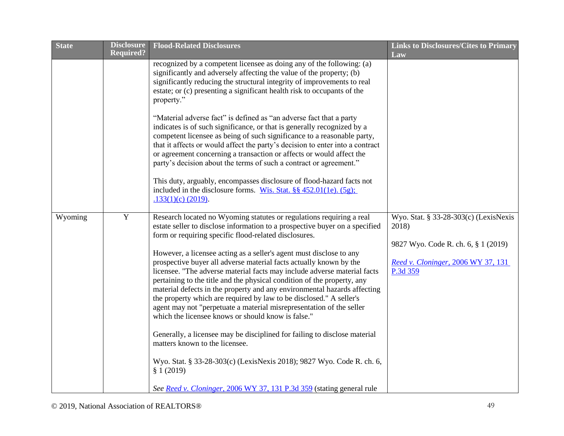| <b>State</b> | <b>Disclosure</b><br><b>Required?</b> | <b>Flood-Related Disclosures</b>                                                                                                                                                                                                                                                                                                                                                                                                                                                                                                                                                                                                                                                                                                                                                                                                                                                                                                                                                                                                                                                | <b>Links to Disclosures/Cites to Primary</b><br>Law                                                                                     |
|--------------|---------------------------------------|---------------------------------------------------------------------------------------------------------------------------------------------------------------------------------------------------------------------------------------------------------------------------------------------------------------------------------------------------------------------------------------------------------------------------------------------------------------------------------------------------------------------------------------------------------------------------------------------------------------------------------------------------------------------------------------------------------------------------------------------------------------------------------------------------------------------------------------------------------------------------------------------------------------------------------------------------------------------------------------------------------------------------------------------------------------------------------|-----------------------------------------------------------------------------------------------------------------------------------------|
|              |                                       | recognized by a competent licensee as doing any of the following: (a)<br>significantly and adversely affecting the value of the property; (b)<br>significantly reducing the structural integrity of improvements to real<br>estate; or (c) presenting a significant health risk to occupants of the<br>property."<br>"Material adverse fact" is defined as "an adverse fact that a party<br>indicates is of such significance, or that is generally recognized by a<br>competent licensee as being of such significance to a reasonable party,<br>that it affects or would affect the party's decision to enter into a contract                                                                                                                                                                                                                                                                                                                                                                                                                                                 |                                                                                                                                         |
|              |                                       | or agreement concerning a transaction or affects or would affect the<br>party's decision about the terms of such a contract or agreement."<br>This duty, arguably, encompasses disclosure of flood-hazard facts not<br>included in the disclosure forms. Wis. Stat. $\S § 452.01(1e)$ . (5g);<br>$.133(1)(c)$ (2019).                                                                                                                                                                                                                                                                                                                                                                                                                                                                                                                                                                                                                                                                                                                                                           |                                                                                                                                         |
| Wyoming      | $\overline{Y}$                        | Research located no Wyoming statutes or regulations requiring a real<br>estate seller to disclose information to a prospective buyer on a specified<br>form or requiring specific flood-related disclosures.<br>However, a licensee acting as a seller's agent must disclose to any<br>prospective buyer all adverse material facts actually known by the<br>licensee. "The adverse material facts may include adverse material facts<br>pertaining to the title and the physical condition of the property, any<br>material defects in the property and any environmental hazards affecting<br>the property which are required by law to be disclosed." A seller's<br>agent may not "perpetuate a material misrepresentation of the seller<br>which the licensee knows or should know is false."<br>Generally, a licensee may be disciplined for failing to disclose material<br>matters known to the licensee.<br>Wyo. Stat. § 33-28-303(c) (LexisNexis 2018); 9827 Wyo. Code R. ch. 6,<br>§ 1(2019)<br>See Reed v. Cloninger, 2006 WY 37, 131 P.3d 359 (stating general rule | Wyo. Stat. § 33-28-303(c) (LexisNexis<br>2018)<br>9827 Wyo. Code R. ch. 6, § 1 (2019)<br>Reed v. Cloninger, 2006 WY 37, 131<br>P.3d 359 |